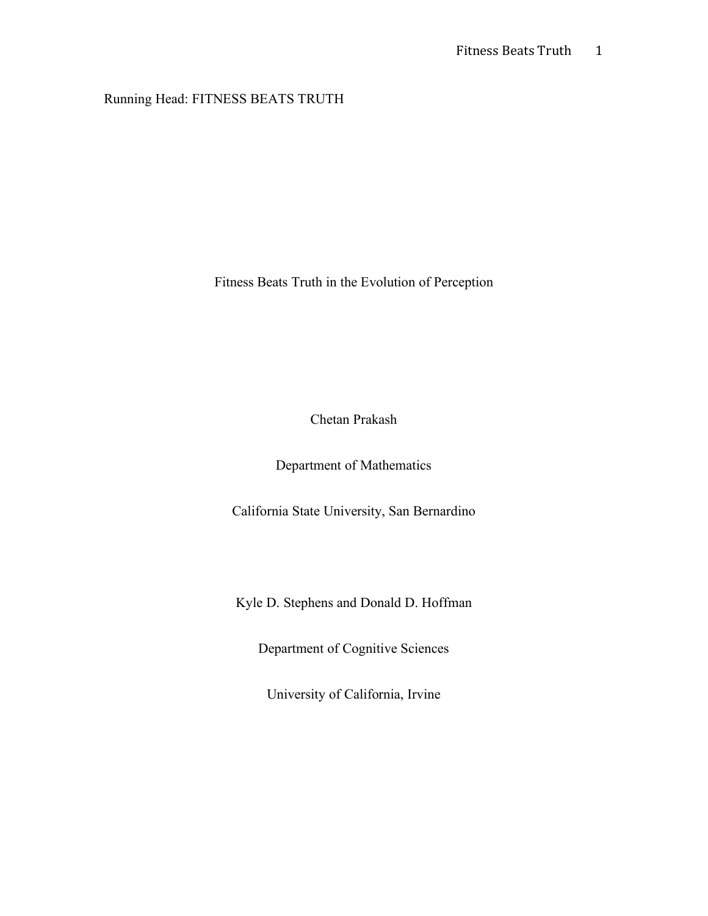# Running Head: FITNESS BEATS TRUTH

Fitness Beats Truth in the Evolution of Perception

Chetan Prakash

Department of Mathematics

California State University, San Bernardino

Kyle D. Stephens and Donald D. Hoffman

Department of Cognitive Sciences

University of California, Irvine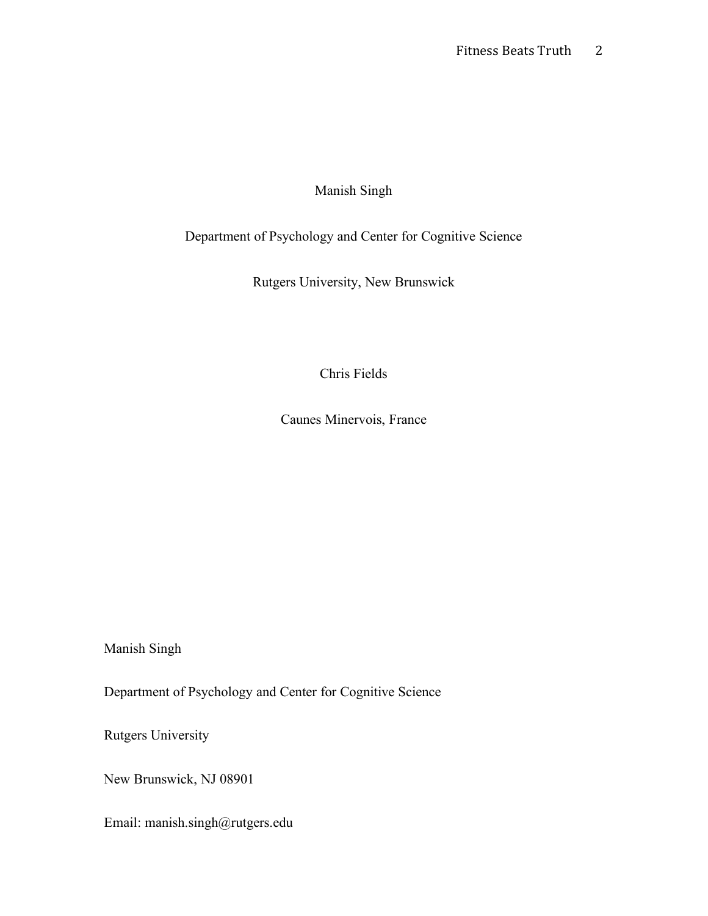## Manish Singh

# Department of Psychology and Center for Cognitive Science

Rutgers University, New Brunswick

Chris Fields

Caunes Minervois, France

Manish Singh

Department of Psychology and Center for Cognitive Science

Rutgers University

New Brunswick, NJ 08901

Email: manish.singh@rutgers.edu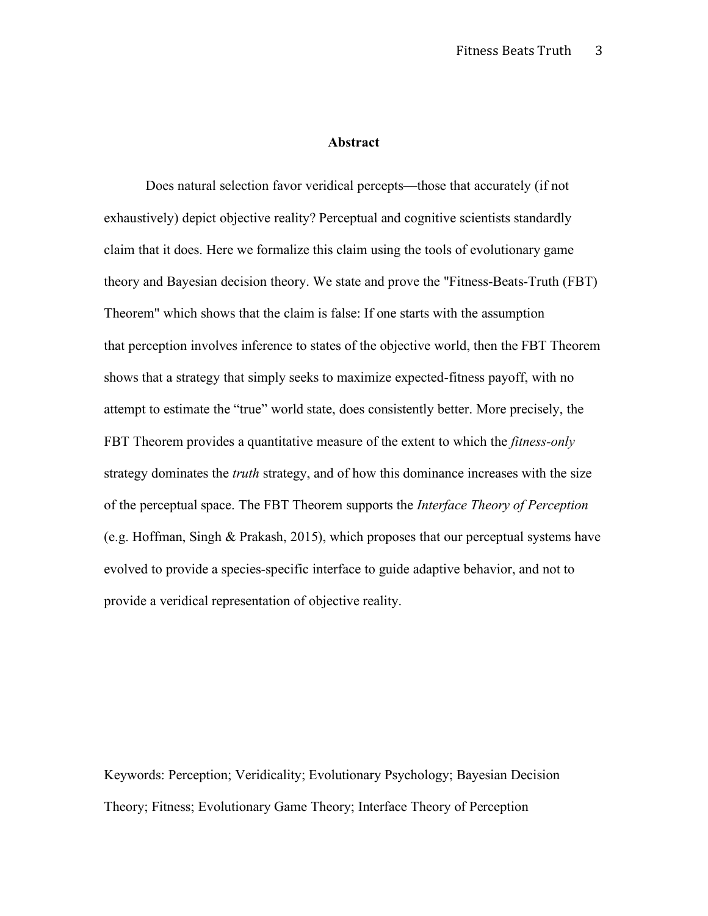#### **Abstract**

Does natural selection favor veridical percepts—those that accurately (if not exhaustively) depict objective reality? Perceptual and cognitive scientists standardly claim that it does. Here we formalize this claim using the tools of evolutionary game theory and Bayesian decision theory. We state and prove the "Fitness-Beats-Truth (FBT) Theorem" which shows that the claim is false: If one starts with the assumption that perception involves inference to states of the objective world, then the FBT Theorem shows that a strategy that simply seeks to maximize expected-fitness payoff, with no attempt to estimate the "true" world state, does consistently better. More precisely, the FBT Theorem provides a quantitative measure of the extent to which the *fitness-only* strategy dominates the *truth* strategy, and of how this dominance increases with the size of the perceptual space. The FBT Theorem supports the *Interface Theory of Perception* (e.g. Hoffman, Singh & Prakash, 2015), which proposes that our perceptual systems have evolved to provide a species-specific interface to guide adaptive behavior, and not to provide a veridical representation of objective reality.

Keywords: Perception; Veridicality; Evolutionary Psychology; Bayesian Decision Theory; Fitness; Evolutionary Game Theory; Interface Theory of Perception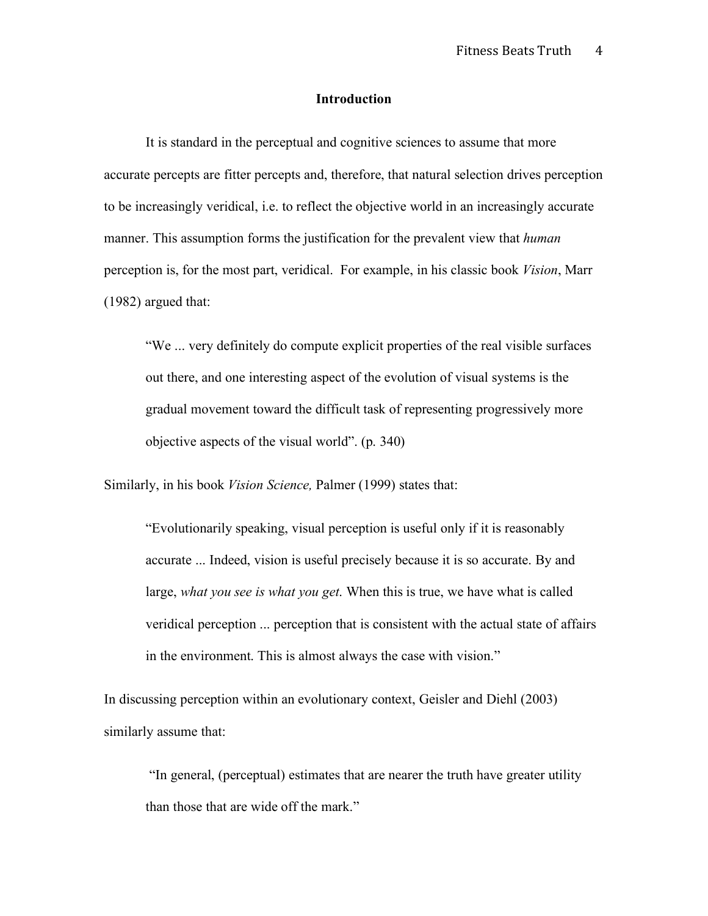#### **Introduction**

It is standard in the perceptual and cognitive sciences to assume that more accurate percepts are fitter percepts and, therefore, that natural selection drives perception to be increasingly veridical, i.e. to reflect the objective world in an increasingly accurate manner. This assumption forms the justification for the prevalent view that *human* perception is, for the most part, veridical. For example, in his classic book *Vision*, Marr (1982) argued that:

"We ... very definitely do compute explicit properties of the real visible surfaces out there, and one interesting aspect of the evolution of visual systems is the gradual movement toward the difficult task of representing progressively more objective aspects of the visual world". (p. 340)

Similarly, in his book *Vision Science,* Palmer (1999) states that:

"Evolutionarily speaking, visual perception is useful only if it is reasonably accurate ... Indeed, vision is useful precisely because it is so accurate. By and large, *what you see is what you get*. When this is true, we have what is called veridical perception ... perception that is consistent with the actual state of affairs in the environment. This is almost always the case with vision."

In discussing perception within an evolutionary context, Geisler and Diehl (2003) similarly assume that:

"In general, (perceptual) estimates that are nearer the truth have greater utility than those that are wide off the mark."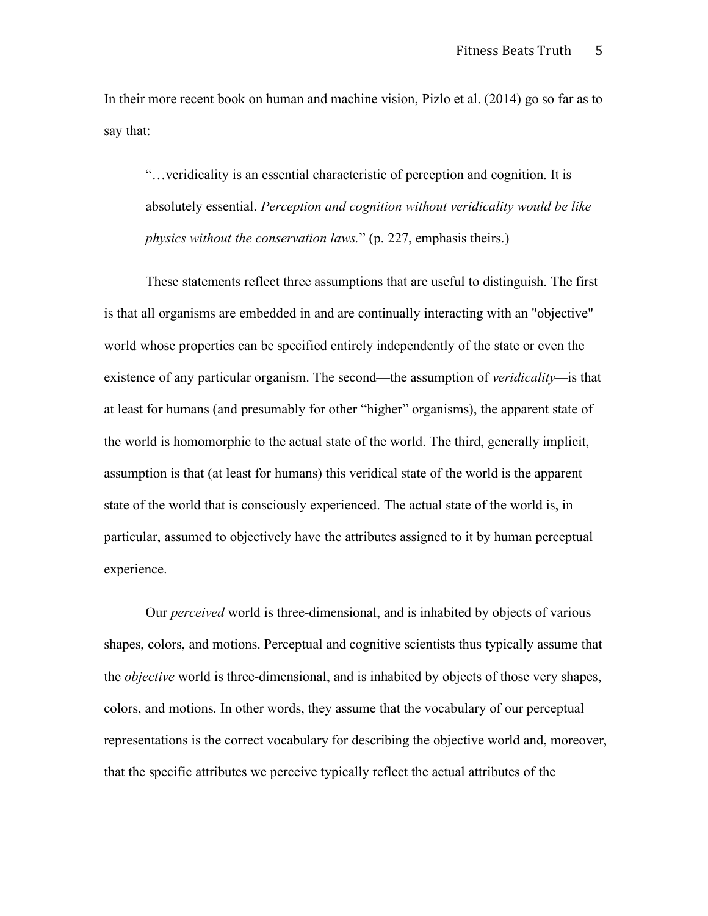In their more recent book on human and machine vision, Pizlo et al. (2014) go so far as to say that:

"…veridicality is an essential characteristic of perception and cognition. It is absolutely essential. *Perception and cognition without veridicality would be like physics without the conservation laws.*" (p. 227, emphasis theirs.)

These statements reflect three assumptions that are useful to distinguish. The first is that all organisms are embedded in and are continually interacting with an "objective" world whose properties can be specified entirely independently of the state or even the existence of any particular organism. The second—the assumption of *veridicality—*is that at least for humans (and presumably for other "higher" organisms), the apparent state of the world is homomorphic to the actual state of the world. The third, generally implicit, assumption is that (at least for humans) this veridical state of the world is the apparent state of the world that is consciously experienced. The actual state of the world is, in particular, assumed to objectively have the attributes assigned to it by human perceptual experience.

Our *perceived* world is three-dimensional, and is inhabited by objects of various shapes, colors, and motions. Perceptual and cognitive scientists thus typically assume that the *objective* world is three-dimensional, and is inhabited by objects of those very shapes, colors, and motions. In other words, they assume that the vocabulary of our perceptual representations is the correct vocabulary for describing the objective world and, moreover, that the specific attributes we perceive typically reflect the actual attributes of the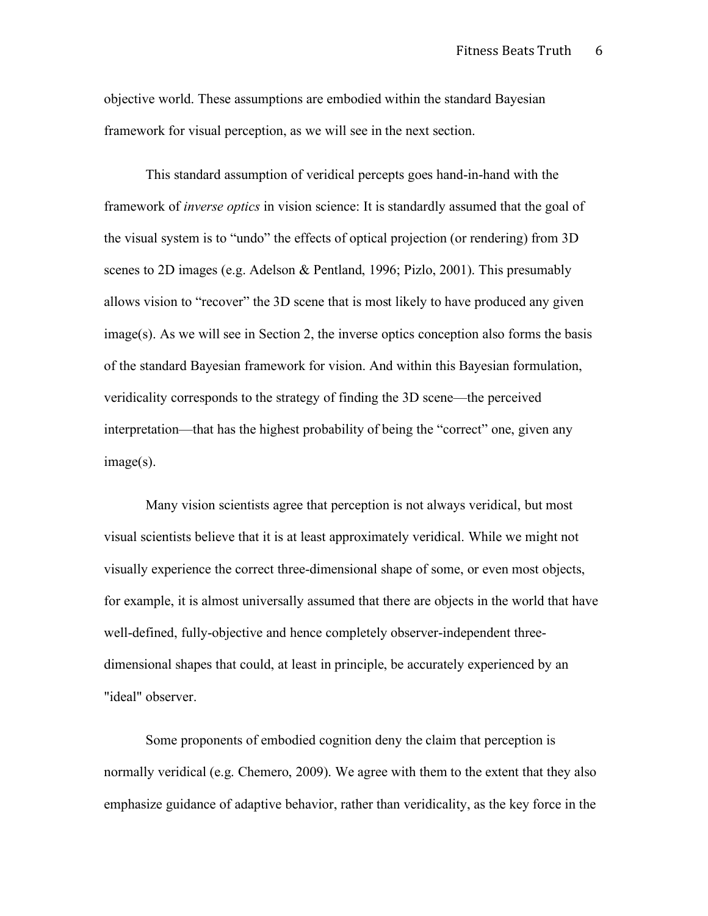objective world. These assumptions are embodied within the standard Bayesian framework for visual perception, as we will see in the next section.

This standard assumption of veridical percepts goes hand-in-hand with the framework of *inverse optics* in vision science: It is standardly assumed that the goal of the visual system is to "undo" the effects of optical projection (or rendering) from 3D scenes to 2D images (e.g. Adelson & Pentland, 1996; Pizlo, 2001). This presumably allows vision to "recover" the 3D scene that is most likely to have produced any given image(s). As we will see in Section 2, the inverse optics conception also forms the basis of the standard Bayesian framework for vision. And within this Bayesian formulation, veridicality corresponds to the strategy of finding the 3D scene—the perceived interpretation—that has the highest probability of being the "correct" one, given any image(s).

Many vision scientists agree that perception is not always veridical, but most visual scientists believe that it is at least approximately veridical. While we might not visually experience the correct three-dimensional shape of some, or even most objects, for example, it is almost universally assumed that there are objects in the world that have well-defined, fully-objective and hence completely observer-independent threedimensional shapes that could, at least in principle, be accurately experienced by an "ideal" observer.

Some proponents of embodied cognition deny the claim that perception is normally veridical (e.g. Chemero, 2009). We agree with them to the extent that they also emphasize guidance of adaptive behavior, rather than veridicality, as the key force in the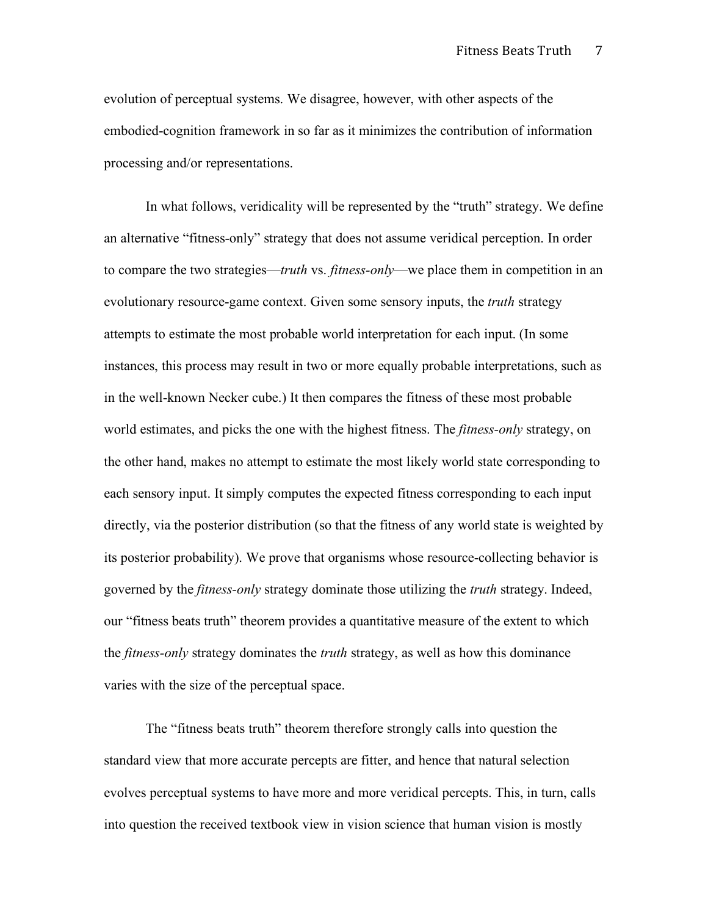evolution of perceptual systems. We disagree, however, with other aspects of the embodied-cognition framework in so far as it minimizes the contribution of information processing and/or representations.

In what follows, veridicality will be represented by the "truth" strategy. We define an alternative "fitness-only" strategy that does not assume veridical perception. In order to compare the two strategies—*truth* vs. *fitness-only*—we place them in competition in an evolutionary resource-game context. Given some sensory inputs, the *truth* strategy attempts to estimate the most probable world interpretation for each input. (In some instances, this process may result in two or more equally probable interpretations, such as in the well-known Necker cube.) It then compares the fitness of these most probable world estimates, and picks the one with the highest fitness. The *fitness-only* strategy, on the other hand, makes no attempt to estimate the most likely world state corresponding to each sensory input. It simply computes the expected fitness corresponding to each input directly, via the posterior distribution (so that the fitness of any world state is weighted by its posterior probability). We prove that organisms whose resource-collecting behavior is governed by the *fitness-only* strategy dominate those utilizing the *truth* strategy. Indeed, our "fitness beats truth" theorem provides a quantitative measure of the extent to which the *fitness-only* strategy dominates the *truth* strategy, as well as how this dominance varies with the size of the perceptual space.

The "fitness beats truth" theorem therefore strongly calls into question the standard view that more accurate percepts are fitter, and hence that natural selection evolves perceptual systems to have more and more veridical percepts. This, in turn, calls into question the received textbook view in vision science that human vision is mostly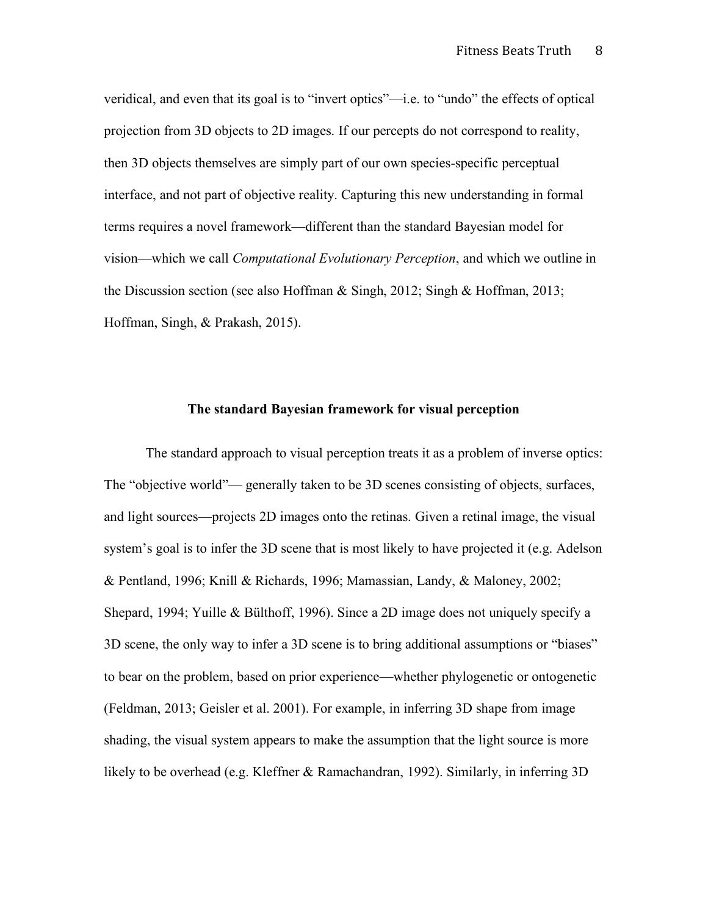veridical, and even that its goal is to "invert optics"—i.e. to "undo" the effects of optical projection from 3D objects to 2D images. If our percepts do not correspond to reality, then 3D objects themselves are simply part of our own species-specific perceptual interface, and not part of objective reality. Capturing this new understanding in formal terms requires a novel framework—different than the standard Bayesian model for vision—which we call *Computational Evolutionary Perception*, and which we outline in the Discussion section (see also Hoffman & Singh, 2012; Singh & Hoffman, 2013; Hoffman, Singh, & Prakash, 2015).

#### **The standard Bayesian framework for visual perception**

The standard approach to visual perception treats it as a problem of inverse optics: The "objective world"— generally taken to be 3D scenes consisting of objects, surfaces, and light sources—projects 2D images onto the retinas. Given a retinal image, the visual system's goal is to infer the 3D scene that is most likely to have projected it (e.g. Adelson & Pentland, 1996; Knill & Richards, 1996; Mamassian, Landy, & Maloney, 2002; Shepard, 1994; Yuille & Bülthoff, 1996). Since a 2D image does not uniquely specify a 3D scene, the only way to infer a 3D scene is to bring additional assumptions or "biases" to bear on the problem, based on prior experience—whether phylogenetic or ontogenetic (Feldman, 2013; Geisler et al. 2001). For example, in inferring 3D shape from image shading, the visual system appears to make the assumption that the light source is more likely to be overhead (e.g. Kleffner & Ramachandran, 1992). Similarly, in inferring 3D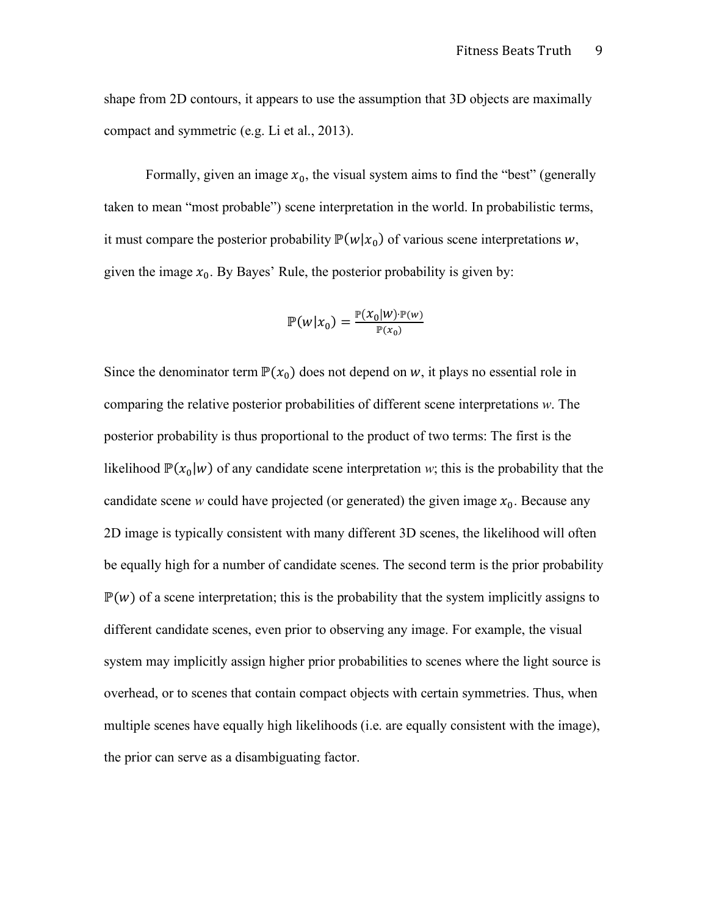shape from 2D contours, it appears to use the assumption that 3D objects are maximally compact and symmetric (e.g. Li et al., 2013).

Formally, given an image  $x_0$ , the visual system aims to find the "best" (generally taken to mean "most probable") scene interpretation in the world. In probabilistic terms, it must compare the posterior probability  $\mathbb{P}(w|x_0)$  of various scene interpretations w, given the image  $x_0$ . By Bayes' Rule, the posterior probability is given by:

$$
\mathbb{P}(w|x_0) = \frac{\mathbb{P}(x_0|w) \cdot \mathbb{P}(w)}{\mathbb{P}(x_0)}
$$

Since the denominator term  $\mathbb{P}(x_0)$  does not depend on w, it plays no essential role in comparing the relative posterior probabilities of different scene interpretations *w*. The posterior probability is thus proportional to the product of two terms: The first is the likelihood  $\mathbb{P}(x_0|w)$  of any candidate scene interpretation *w*; this is the probability that the candidate scene *w* could have projected (or generated) the given image  $x_0$ . Because any 2D image is typically consistent with many different 3D scenes, the likelihood will often be equally high for a number of candidate scenes. The second term is the prior probability  $\mathbb{P}(w)$  of a scene interpretation; this is the probability that the system implicitly assigns to different candidate scenes, even prior to observing any image. For example, the visual system may implicitly assign higher prior probabilities to scenes where the light source is overhead, or to scenes that contain compact objects with certain symmetries. Thus, when multiple scenes have equally high likelihoods (i.e. are equally consistent with the image), the prior can serve as a disambiguating factor.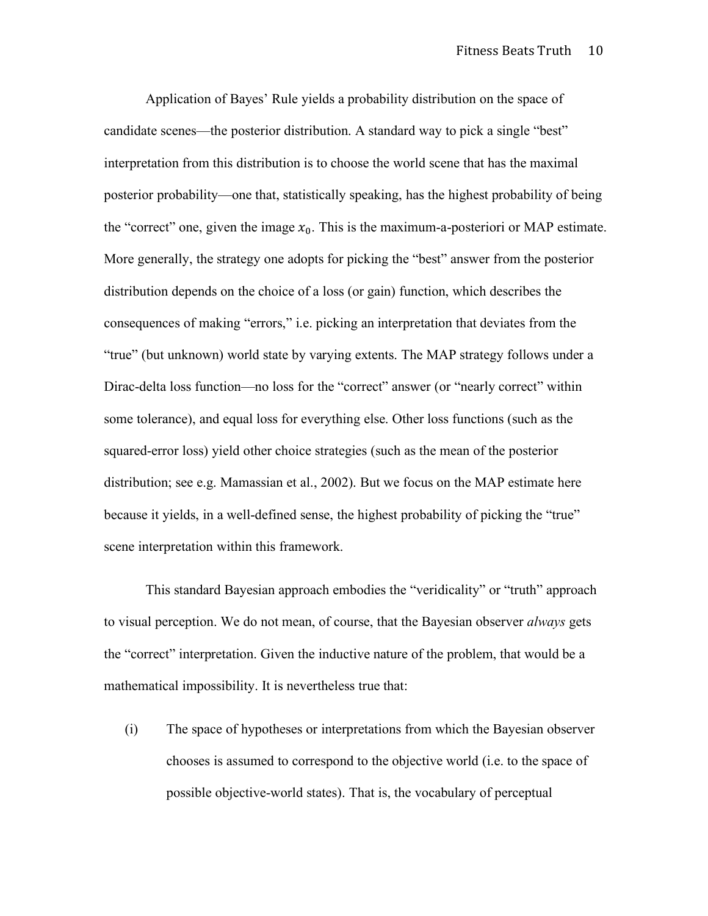Application of Bayes' Rule yields a probability distribution on the space of candidate scenes—the posterior distribution. A standard way to pick a single "best" interpretation from this distribution is to choose the world scene that has the maximal posterior probability—one that, statistically speaking, has the highest probability of being the "correct" one, given the image  $x_0$ . This is the maximum-a-posteriori or MAP estimate. More generally, the strategy one adopts for picking the "best" answer from the posterior distribution depends on the choice of a loss (or gain) function, which describes the consequences of making "errors," i.e. picking an interpretation that deviates from the "true" (but unknown) world state by varying extents. The MAP strategy follows under a Dirac-delta loss function—no loss for the "correct" answer (or "nearly correct" within some tolerance), and equal loss for everything else. Other loss functions (such as the squared-error loss) yield other choice strategies (such as the mean of the posterior distribution; see e.g. Mamassian et al., 2002). But we focus on the MAP estimate here because it yields, in a well-defined sense, the highest probability of picking the "true" scene interpretation within this framework.

This standard Bayesian approach embodies the "veridicality" or "truth" approach to visual perception. We do not mean, of course, that the Bayesian observer *always* gets the "correct" interpretation. Given the inductive nature of the problem, that would be a mathematical impossibility. It is nevertheless true that:

(i) The space of hypotheses or interpretations from which the Bayesian observer chooses is assumed to correspond to the objective world (i.e. to the space of possible objective-world states). That is, the vocabulary of perceptual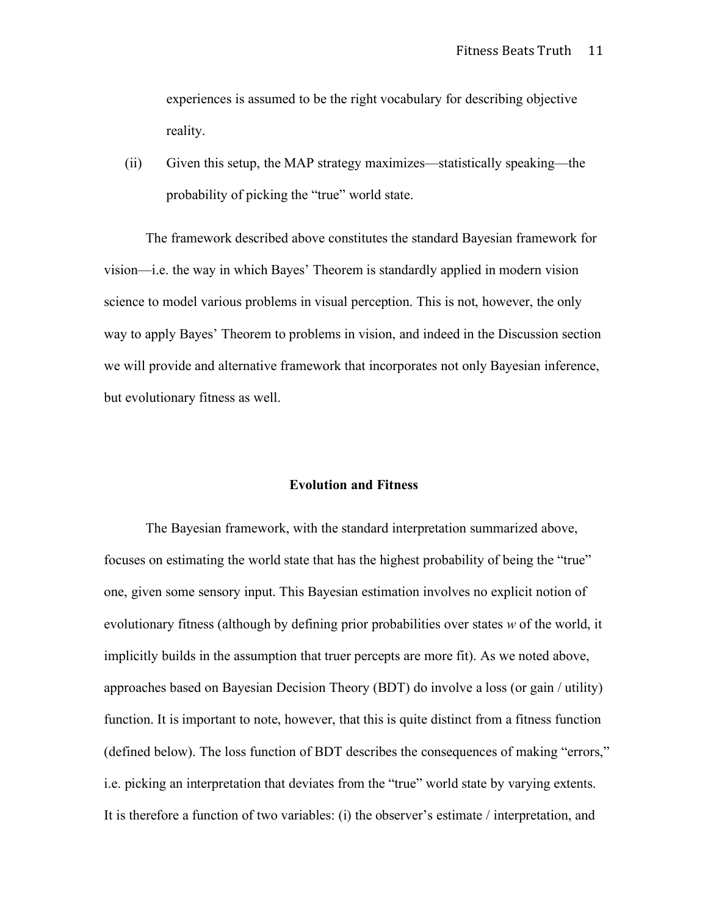experiences is assumed to be the right vocabulary for describing objective reality.

(ii) Given this setup, the MAP strategy maximizes—statistically speaking—the probability of picking the "true" world state.

The framework described above constitutes the standard Bayesian framework for vision—i.e. the way in which Bayes' Theorem is standardly applied in modern vision science to model various problems in visual perception. This is not, however, the only way to apply Bayes' Theorem to problems in vision, and indeed in the Discussion section we will provide and alternative framework that incorporates not only Bayesian inference, but evolutionary fitness as well.

### **Evolution and Fitness**

The Bayesian framework, with the standard interpretation summarized above, focuses on estimating the world state that has the highest probability of being the "true" one, given some sensory input. This Bayesian estimation involves no explicit notion of evolutionary fitness (although by defining prior probabilities over states *w* of the world, it implicitly builds in the assumption that truer percepts are more fit). As we noted above, approaches based on Bayesian Decision Theory (BDT) do involve a loss (or gain / utility) function. It is important to note, however, that this is quite distinct from a fitness function (defined below). The loss function of BDT describes the consequences of making "errors," i.e. picking an interpretation that deviates from the "true" world state by varying extents. It is therefore a function of two variables: (i) the observer's estimate / interpretation, and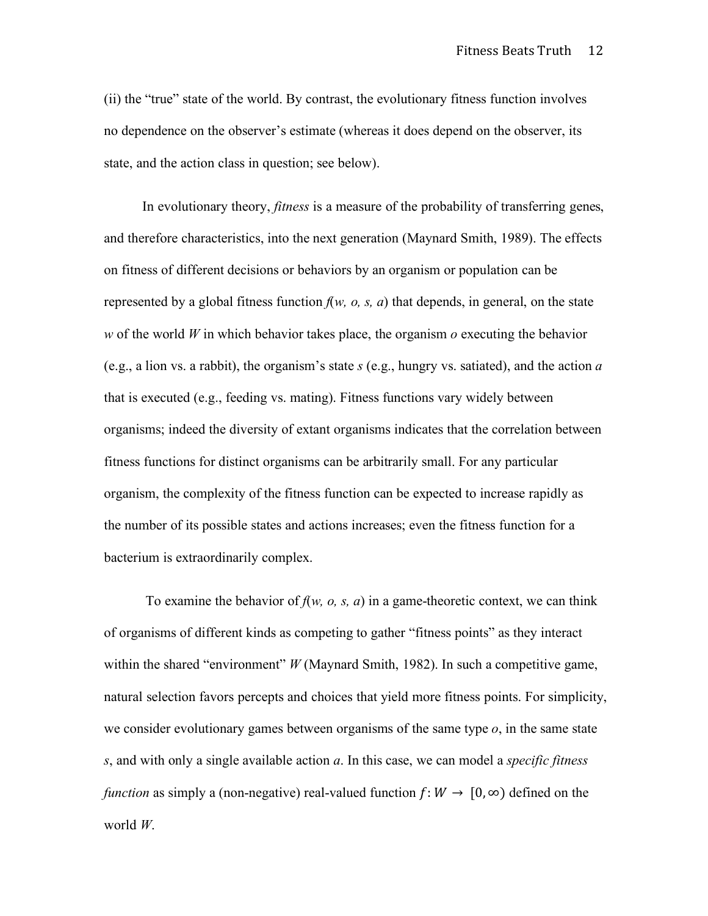(ii) the "true" state of the world. By contrast, the evolutionary fitness function involves no dependence on the observer's estimate (whereas it does depend on the observer, its state, and the action class in question; see below).

In evolutionary theory, *fitness* is a measure of the probability of transferring genes, and therefore characteristics, into the next generation (Maynard Smith, 1989). The effects on fitness of different decisions or behaviors by an organism or population can be represented by a global fitness function  $f(w, o, s, a)$  that depends, in general, on the state *w* of the world *W* in which behavior takes place, the organism *o* executing the behavior (e.g., a lion vs. a rabbit), the organism's state *s* (e.g., hungry vs. satiated), and the action *a*  that is executed (e.g., feeding vs. mating). Fitness functions vary widely between organisms; indeed the diversity of extant organisms indicates that the correlation between fitness functions for distinct organisms can be arbitrarily small. For any particular organism, the complexity of the fitness function can be expected to increase rapidly as the number of its possible states and actions increases; even the fitness function for a bacterium is extraordinarily complex.

To examine the behavior of  $f(w, o, s, a)$  in a game-theoretic context, we can think of organisms of different kinds as competing to gather "fitness points" as they interact within the shared "environment" *W* (Maynard Smith, 1982). In such a competitive game, natural selection favors percepts and choices that yield more fitness points. For simplicity, we consider evolutionary games between organisms of the same type *o*, in the same state *s*, and with only a single available action *a*. In this case, we can model a *specific fitness function* as simply a (non-negative) real-valued function  $f: W \to [0, \infty)$  defined on the world *W*.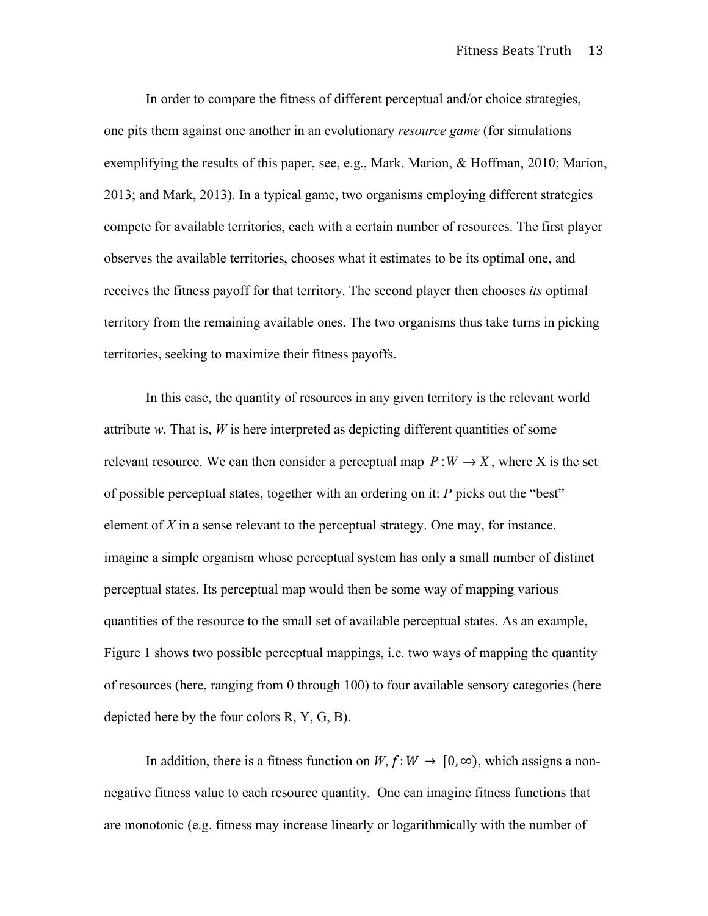In order to compare the fitness of different perceptual and/or choice strategies, one pits them against one another in an evolutionary *resource game* (for simulations exemplifying the results of this paper, see, e.g., Mark, Marion, & Hoffman, 2010; Marion, 2013; and Mark, 2013). In a typical game, two organisms employing different strategies compete for available territories, each with a certain number of resources. The first player observes the available territories, chooses what it estimates to be its optimal one, and receives the fitness payoff for that territory. The second player then chooses *its* optimal territory from the remaining available ones. The two organisms thus take turns in picking territories, seeking to maximize their fitness payoffs.

In this case, the quantity of resources in any given territory is the relevant world attribute *w*. That is, *W* is here interpreted as depicting different quantities of some relevant resource. We can then consider a perceptual map  $P:W\to X$ , where X is the set of possible perceptual states, together with an ordering on it: *P* picks out the "best" element of  $X$  in a sense relevant to the perceptual strategy. One may, for instance, imagine a simple organism whose perceptual system has only a small number of distinct perceptual states. Its perceptual map would then be some way of mapping various quantities of the resource to the small set of available perceptual states. As an example, Figure 1 shows two possible perceptual mappings, i.e. two ways of mapping the quantity of resources (here, ranging from 0 through 100) to four available sensory categories (here depicted here by the four colors R, Y, G, B).

In addition, there is a fitness function on *W*,  $f: W \to [0, \infty)$ , which assigns a nonnegative fitness value to each resource quantity. One can imagine fitness functions that are monotonic (e.g. fitness may increase linearly or logarithmically with the number of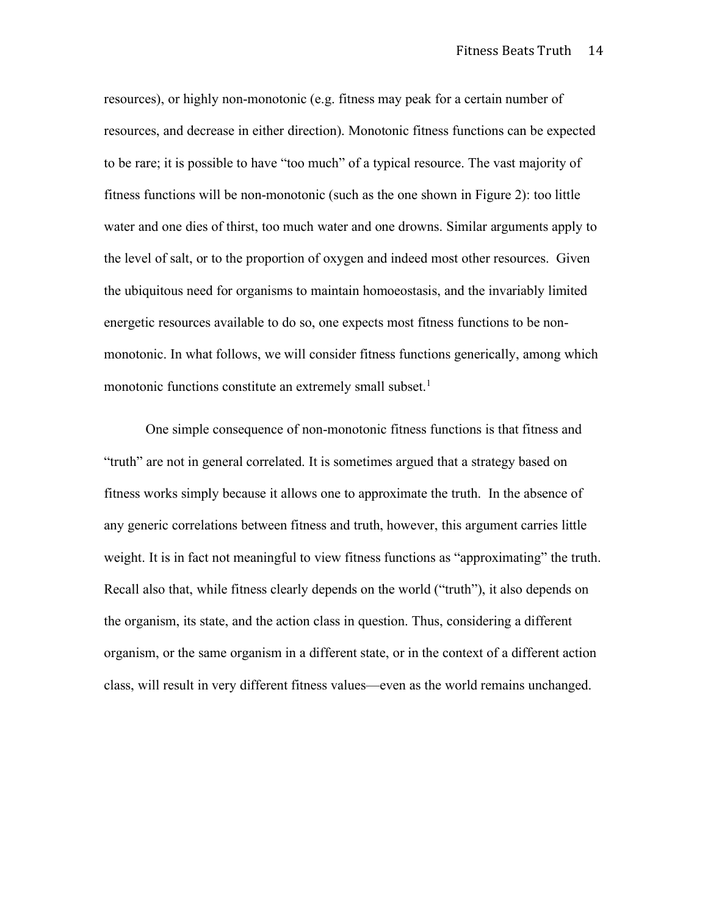resources), or highly non-monotonic (e.g. fitness may peak for a certain number of resources, and decrease in either direction). Monotonic fitness functions can be expected to be rare; it is possible to have "too much" of a typical resource. The vast majority of fitness functions will be non-monotonic (such as the one shown in Figure 2): too little water and one dies of thirst, too much water and one drowns. Similar arguments apply to the level of salt, or to the proportion of oxygen and indeed most other resources. Given the ubiquitous need for organisms to maintain homoeostasis, and the invariably limited energetic resources available to do so, one expects most fitness functions to be nonmonotonic. In what follows, we will consider fitness functions generically, among which monotonic functions constitute an extremely small subset. 1

One simple consequence of non-monotonic fitness functions is that fitness and "truth" are not in general correlated. It is sometimes argued that a strategy based on fitness works simply because it allows one to approximate the truth. In the absence of any generic correlations between fitness and truth, however, this argument carries little weight. It is in fact not meaningful to view fitness functions as "approximating" the truth. Recall also that, while fitness clearly depends on the world ("truth"), it also depends on the organism, its state, and the action class in question. Thus, considering a different organism, or the same organism in a different state, or in the context of a different action class, will result in very different fitness values—even as the world remains unchanged.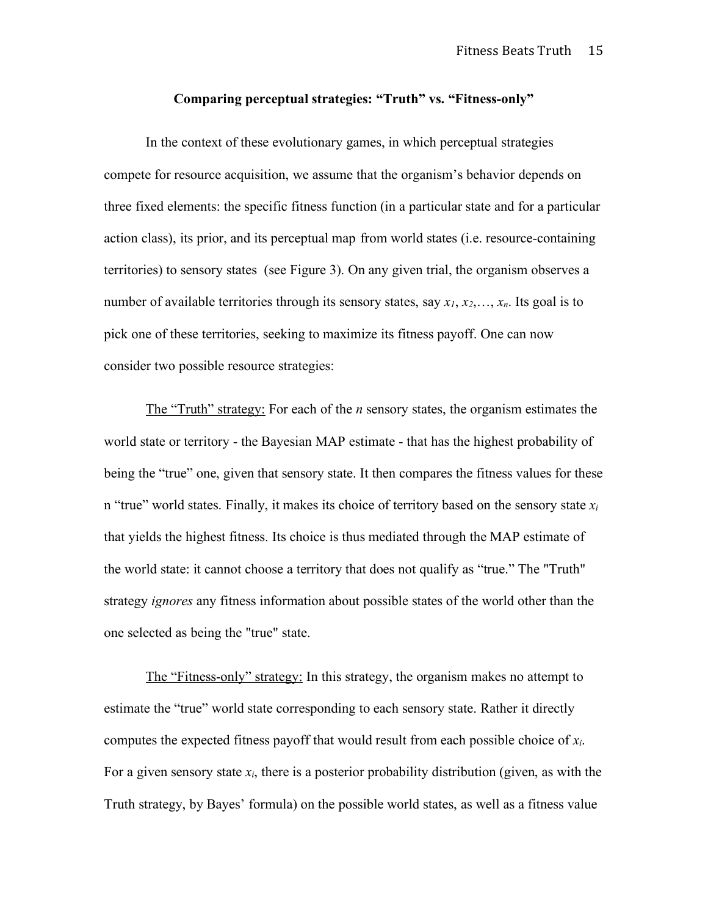## **Comparing perceptual strategies: "Truth" vs. "Fitness-only"**

In the context of these evolutionary games, in which perceptual strategies compete for resource acquisition, we assume that the organism's behavior depends on three fixed elements: the specific fitness function (in a particular state and for a particular action class), its prior, and its perceptual map from world states (i.e. resource-containing territories) to sensory states (see Figure 3). On any given trial, the organism observes a number of available territories through its sensory states, say *x1*, *x2*,…, *xn*. Its goal is to pick one of these territories, seeking to maximize its fitness payoff. One can now consider two possible resource strategies:

The "Truth" strategy: For each of the *n* sensory states, the organism estimates the world state or territory - the Bayesian MAP estimate - that has the highest probability of being the "true" one, given that sensory state. It then compares the fitness values for these n "true" world states. Finally, it makes its choice of territory based on the sensory state  $x_i$ that yields the highest fitness. Its choice is thus mediated through the MAP estimate of the world state: it cannot choose a territory that does not qualify as "true." The "Truth" strategy *ignores* any fitness information about possible states of the world other than the one selected as being the "true" state.

The "Fitness-only" strategy: In this strategy, the organism makes no attempt to estimate the "true" world state corresponding to each sensory state. Rather it directly computes the expected fitness payoff that would result from each possible choice of *xi*. For a given sensory state  $x_i$ , there is a posterior probability distribution (given, as with the Truth strategy, by Bayes' formula) on the possible world states, as well as a fitness value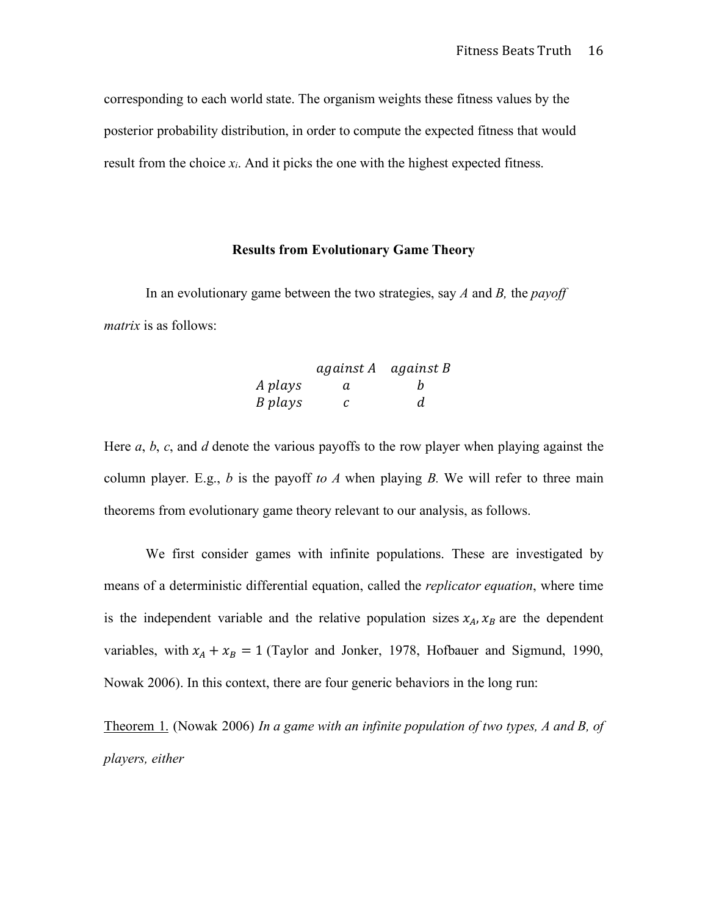corresponding to each world state. The organism weights these fitness values by the posterior probability distribution, in order to compute the expected fitness that would result from the choice  $x_i$ . And it picks the one with the highest expected fitness.

## **Results from Evolutionary Game Theory**

In an evolutionary game between the two strategies, say *A* and *B,* the *payoff matrix* is as follows:

|         | against A against B |   |
|---------|---------------------|---|
| A plays | a.                  | h |
| B plays | C                   | d |

Here *a*, *b*, *c*, and *d* denote the various payoffs to the row player when playing against the column player. E.g.,  $b$  is the payoff *to*  $A$  when playing  $B$ . We will refer to three main theorems from evolutionary game theory relevant to our analysis, as follows.

We first consider games with infinite populations. These are investigated by means of a deterministic differential equation, called the *replicator equation*, where time is the independent variable and the relative population sizes  $x_A$ ,  $x_B$  are the dependent variables, with  $x_A + x_B = 1$  (Taylor and Jonker, 1978, Hofbauer and Sigmund, 1990, Nowak 2006). In this context, there are four generic behaviors in the long run:

Theorem 1. (Nowak 2006) *In a game with an infinite population of two types, A and B, of players, either*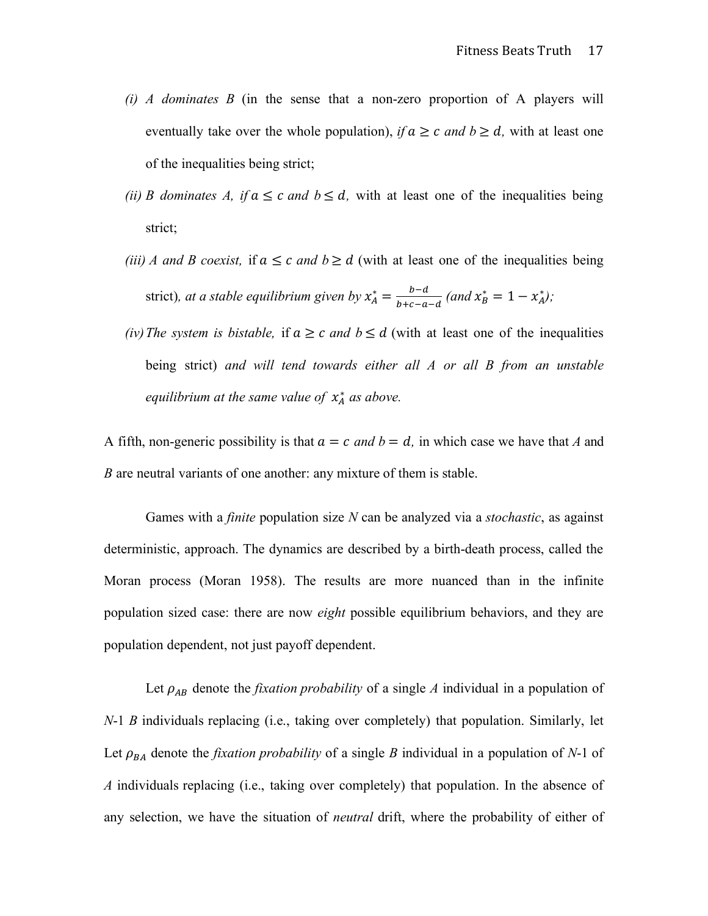- *(i) A dominates B* (in the sense that a non-zero proportion of A players will eventually take over the whole population), *if*  $a \ge c$  *and*  $b \ge d$ , with at least one of the inequalities being strict;
- *(ii) B* dominates *A*, *if*  $a \le c$  *and*  $b \le d$ , with at least one of the inequalities being strict;
- *(iii) A* and *B* coexist, if  $a \leq c$  and  $b \geq d$  (with at least one of the inequalities being strict)*, at a stable equilibrium given by*  $x_A^* = \frac{b-d}{b+c-a-d}$  (and  $x_B^* = 1 - x_A^*$ );
- *(iv) The system is bistable,* if  $a \ge c$  *and*  $b \le d$  (with at least one of the inequalities being strict) *and will tend towards either all A or all B from an unstable*  equilibrium at the same value of  $x_A^*$  as above.

A fifth, non-generic possibility is that  $a = c$  and  $b = d$ , in which case we have that *A* and *B* are neutral variants of one another: any mixture of them is stable.

Games with a *finite* population size *N* can be analyzed via a *stochastic*, as against deterministic, approach. The dynamics are described by a birth-death process, called the Moran process (Moran 1958). The results are more nuanced than in the infinite population sized case: there are now *eight* possible equilibrium behaviors, and they are population dependent, not just payoff dependent.

Let  $\rho_{AB}$  denote the *fixation probability* of a single *A* individual in a population of *N*-1 *B* individuals replacing (i.e., taking over completely) that population. Similarly, let Let  $\rho_{BA}$  denote the *fixation probability* of a single *B* individual in a population of *N*-1 of *A* individuals replacing (i.e., taking over completely) that population. In the absence of any selection, we have the situation of *neutral* drift, where the probability of either of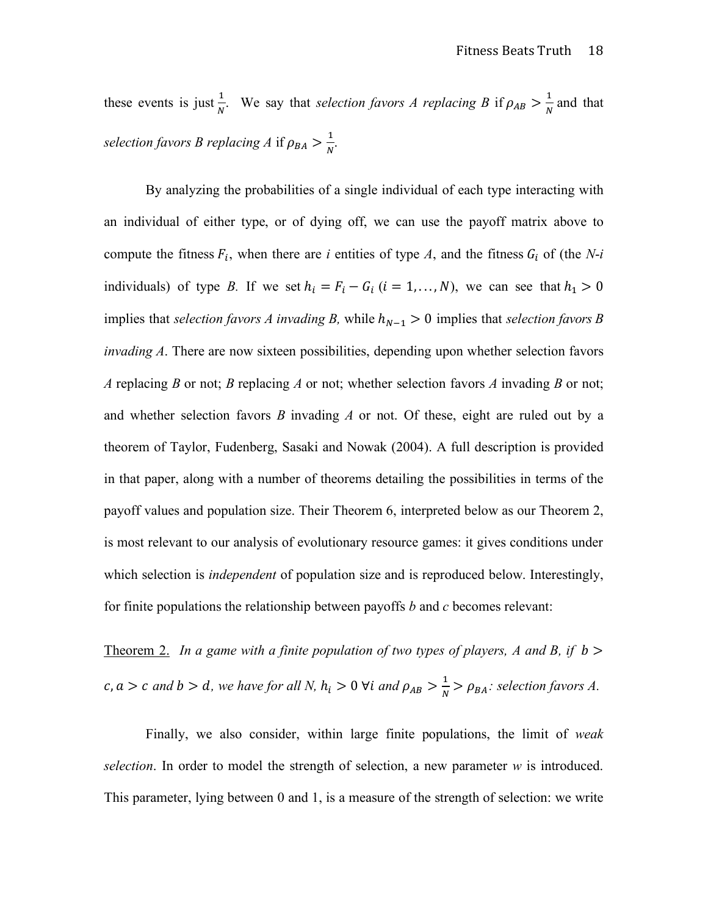these events is just  $\frac{1}{N}$ . We say that *selection favors A replacing B* if  $\rho_{AB} > \frac{1}{N}$  and that *selection favors B replacing A* if  $\rho_{BA} > \frac{1}{N}$ .

By analyzing the probabilities of a single individual of each type interacting with an individual of either type, or of dying off, we can use the payoff matrix above to compute the fitness  $F_i$ , when there are *i* entities of type *A*, and the fitness  $G_i$  of (the *N*-*i* individuals) of type *B*. If we set  $h_i = F_i - G_i$  ( $i = 1, ..., N$ ), we can see that  $h_1 > 0$ implies that *selection favors A invading B*, while  $h_{N-1} > 0$  implies that *selection favors B invading A*. There are now sixteen possibilities, depending upon whether selection favors *A* replacing *B* or not; *B* replacing *A* or not; whether selection favors *A* invading *B* or not; and whether selection favors *B* invading *A* or not. Of these, eight are ruled out by a theorem of Taylor, Fudenberg, Sasaki and Nowak (2004). A full description is provided in that paper, along with a number of theorems detailing the possibilities in terms of the payoff values and population size. Their Theorem 6, interpreted below as our Theorem 2, is most relevant to our analysis of evolutionary resource games: it gives conditions under which selection is *independent* of population size and is reproduced below. Interestingly, for finite populations the relationship between payoffs *b* and *c* becomes relevant:

Theorem 2. *In a game with a finite population of two types of players, A and B, if*  $b >$  $c, a > c$  and  $b > d$ , we have for all N,  $h_i > 0$   $\forall i$  and  $\rho_{AB} > \frac{1}{N} > \rho_{BA}$ : selection favors A.

Finally, we also consider, within large finite populations, the limit of *weak selection*. In order to model the strength of selection, a new parameter *w* is introduced. This parameter, lying between 0 and 1, is a measure of the strength of selection: we write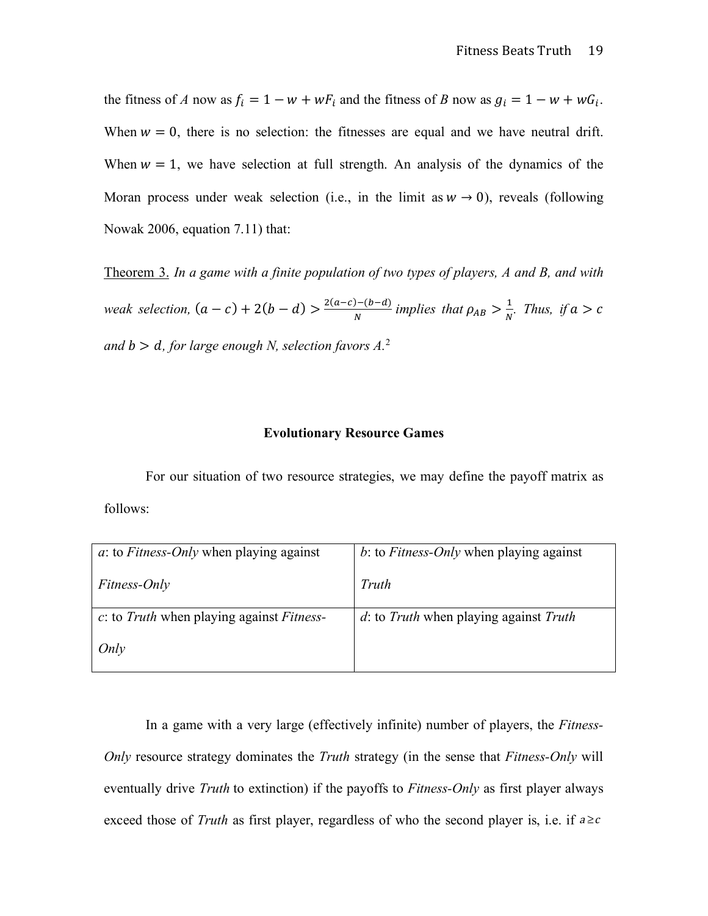the fitness of *A* now as  $f_i = 1 - w + wF_i$  and the fitness of *B* now as  $g_i = 1 - w + wG_i$ . When  $w = 0$ , there is no selection: the fitnesses are equal and we have neutral drift. When  $w = 1$ , we have selection at full strength. An analysis of the dynamics of the Moran process under weak selection (i.e., in the limit as  $w \to 0$ ), reveals (following Nowak 2006, equation 7.11) that:

Theorem 3. *In a game with a finite population of two types of players, A and B, and with weak selection,*  $(a - c) + 2(b - d) > \frac{2(a - c) - (b - d)}{N}$  *implies that*  $\rho_{AB} > \frac{1}{N}$ . *Thus, if*  $a > c$ and  $b > d$ , for large enough N, selection favors  $A^2$ .

## **Evolutionary Resource Games**

For our situation of two resource strategies, we may define the payoff matrix as follows:

| $a$ : to <i>Fitness-Only</i> when playing against | b: to Fitness-Only when playing against |  |
|---------------------------------------------------|-----------------------------------------|--|
| <i>Fitness-Only</i>                               | Truth                                   |  |
| c: to Truth when playing against Fitness-         | d: to Truth when playing against Truth  |  |
| Only                                              |                                         |  |

In a game with a very large (effectively infinite) number of players, the *Fitness-Only* resource strategy dominates the *Truth* strategy (in the sense that *Fitness-Only* will eventually drive *Truth* to extinction) if the payoffs to *Fitness-Only* as first player always exceed those of *Truth* as first player, regardless of who the second player is, i.e. if  $a \geq c$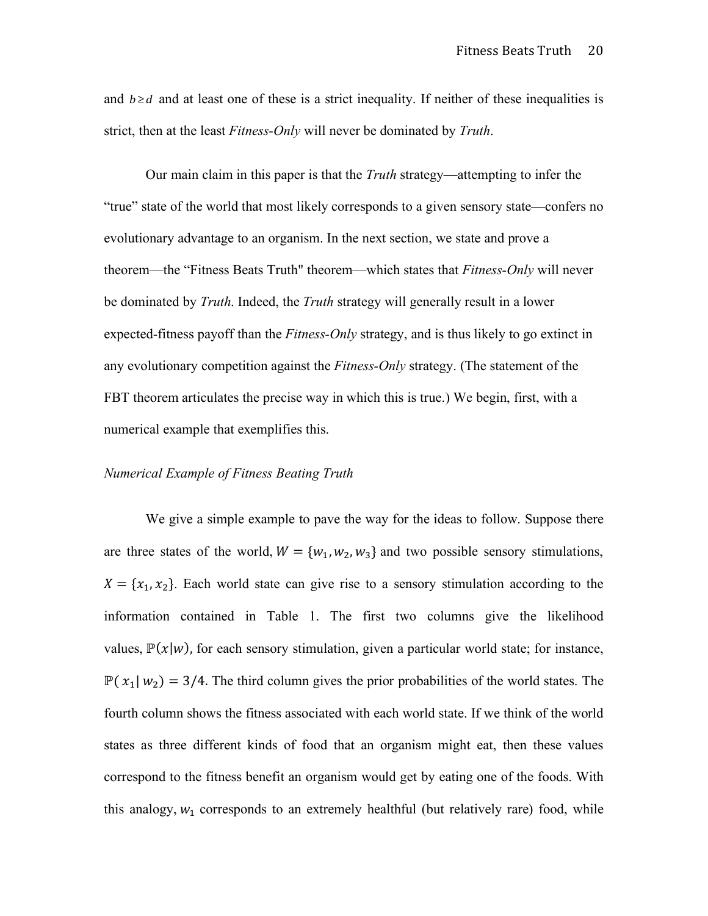and  $b \ge d$  and at least one of these is a strict inequality. If neither of these inequalities is strict, then at the least *Fitness-Only* will never be dominated by *Truth*.

Our main claim in this paper is that the *Truth* strategy—attempting to infer the "true" state of the world that most likely corresponds to a given sensory state—confers no evolutionary advantage to an organism. In the next section, we state and prove a theorem—the "Fitness Beats Truth" theorem—which states that *Fitness-Only* will never be dominated by *Truth*. Indeed, the *Truth* strategy will generally result in a lower expected-fitness payoff than the *Fitness-Only* strategy, and is thus likely to go extinct in any evolutionary competition against the *Fitness-Only* strategy. (The statement of the FBT theorem articulates the precise way in which this is true.) We begin, first, with a numerical example that exemplifies this.

### *Numerical Example of Fitness Beating Truth*

We give a simple example to pave the way for the ideas to follow. Suppose there are three states of the world,  $W = \{w_1, w_2, w_3\}$  and two possible sensory stimulations,  $X = \{x_1, x_2\}$ . Each world state can give rise to a sensory stimulation according to the information contained in Table 1. The first two columns give the likelihood values,  $\mathbb{P}(x|w)$ , for each sensory stimulation, given a particular world state; for instance,  $\mathbb{P}(x_1 | w_2) = 3/4$ . The third column gives the prior probabilities of the world states. The fourth column shows the fitness associated with each world state. If we think of the world states as three different kinds of food that an organism might eat, then these values correspond to the fitness benefit an organism would get by eating one of the foods. With this analogy,  $w_1$  corresponds to an extremely healthful (but relatively rare) food, while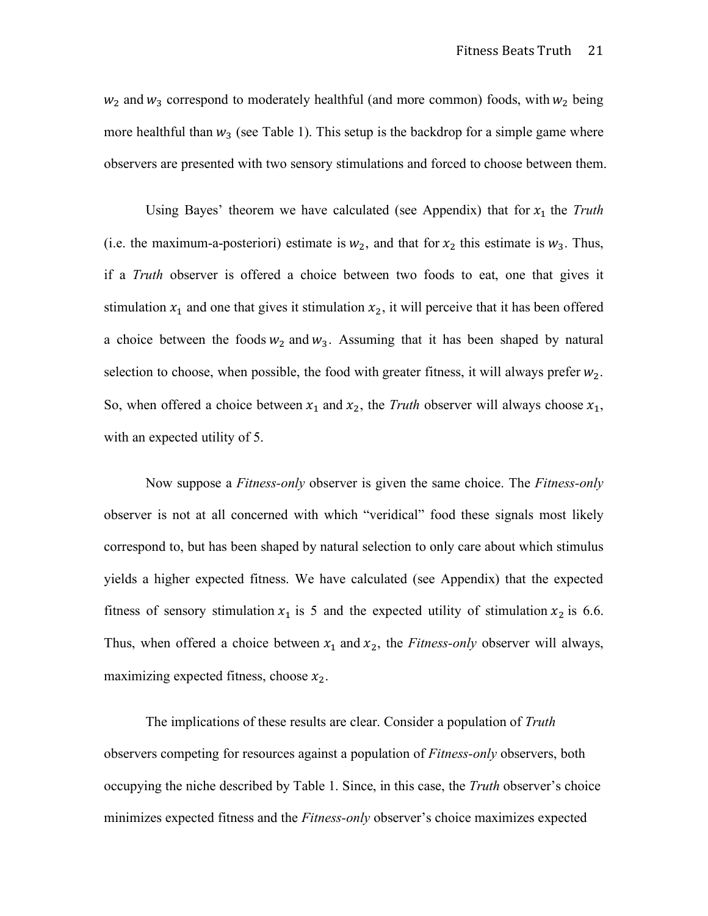$w_2$  and  $w_3$  correspond to moderately healthful (and more common) foods, with  $w_2$  being more healthful than  $w_3$  (see Table 1). This setup is the backdrop for a simple game where observers are presented with two sensory stimulations and forced to choose between them.

Using Bayes' theorem we have calculated (see Appendix) that for  $x_1$  the *Truth* (i.e. the maximum-a-posteriori) estimate is  $w_2$ , and that for  $x_2$  this estimate is  $w_3$ . Thus, if a *Truth* observer is offered a choice between two foods to eat, one that gives it stimulation  $x_1$  and one that gives it stimulation  $x_2$ , it will perceive that it has been offered a choice between the foods  $w_2$  and  $w_3$ . Assuming that it has been shaped by natural selection to choose, when possible, the food with greater fitness, it will always prefer  $w_2$ . So, when offered a choice between  $x_1$  and  $x_2$ , the *Truth* observer will always choose  $x_1$ , with an expected utility of 5.

Now suppose a *Fitness-only* observer is given the same choice. The *Fitness-only* observer is not at all concerned with which "veridical" food these signals most likely correspond to, but has been shaped by natural selection to only care about which stimulus yields a higher expected fitness. We have calculated (see Appendix) that the expected fitness of sensory stimulation  $x_1$  is 5 and the expected utility of stimulation  $x_2$  is 6.6. Thus, when offered a choice between  $x_1$  and  $x_2$ , the *Fitness-only* observer will always, maximizing expected fitness, choose  $x_2$ .

The implications of these results are clear. Consider a population of *Truth* observers competing for resources against a population of *Fitness-only* observers, both occupying the niche described by Table 1. Since, in this case, the *Truth* observer's choice minimizes expected fitness and the *Fitness-only* observer's choice maximizes expected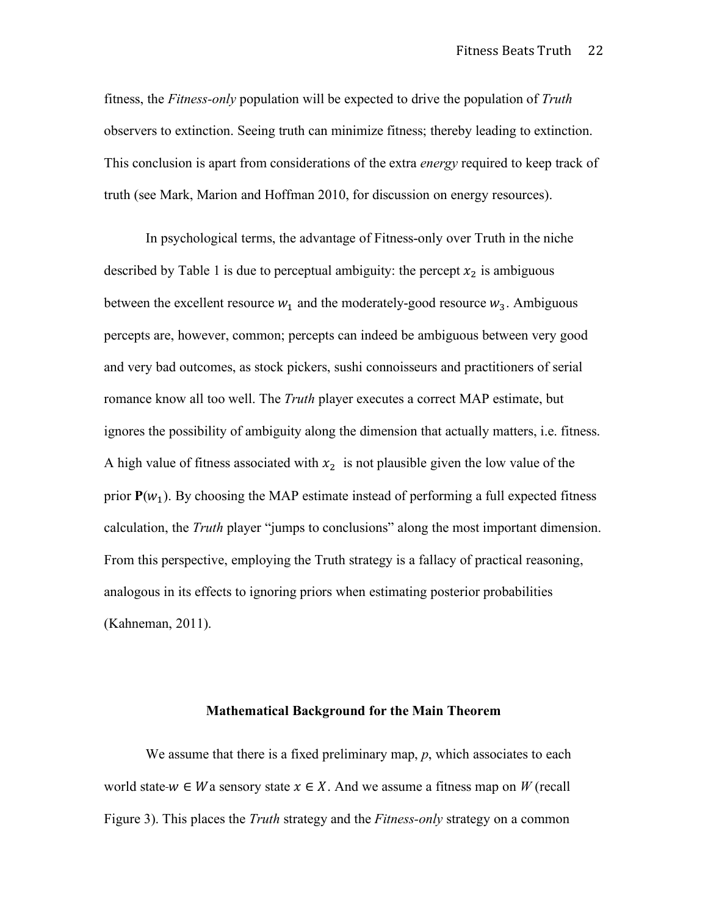fitness, the *Fitness-only* population will be expected to drive the population of *Truth* observers to extinction. Seeing truth can minimize fitness; thereby leading to extinction. This conclusion is apart from considerations of the extra *energy* required to keep track of truth (see Mark, Marion and Hoffman 2010, for discussion on energy resources).

In psychological terms, the advantage of Fitness-only over Truth in the niche described by Table 1 is due to perceptual ambiguity: the percept  $x_2$  is ambiguous between the excellent resource  $w_1$  and the moderately-good resource  $w_3$ . Ambiguous percepts are, however, common; percepts can indeed be ambiguous between very good and very bad outcomes, as stock pickers, sushi connoisseurs and practitioners of serial romance know all too well. The *Truth* player executes a correct MAP estimate, but ignores the possibility of ambiguity along the dimension that actually matters, i.e. fitness. A high value of fitness associated with  $x_2$  is not plausible given the low value of the prior  $P(w_1)$ . By choosing the MAP estimate instead of performing a full expected fitness calculation, the *Truth* player "jumps to conclusions" along the most important dimension. From this perspective, employing the Truth strategy is a fallacy of practical reasoning, analogous in its effects to ignoring priors when estimating posterior probabilities (Kahneman, 2011).

#### **Mathematical Background for the Main Theorem**

We assume that there is a fixed preliminary map, *p*, which associates to each world state- $w \in W$  a sensory state  $x \in X$ . And we assume a fitness map on W (recall Figure 3). This places the *Truth* strategy and the *Fitness-only* strategy on a common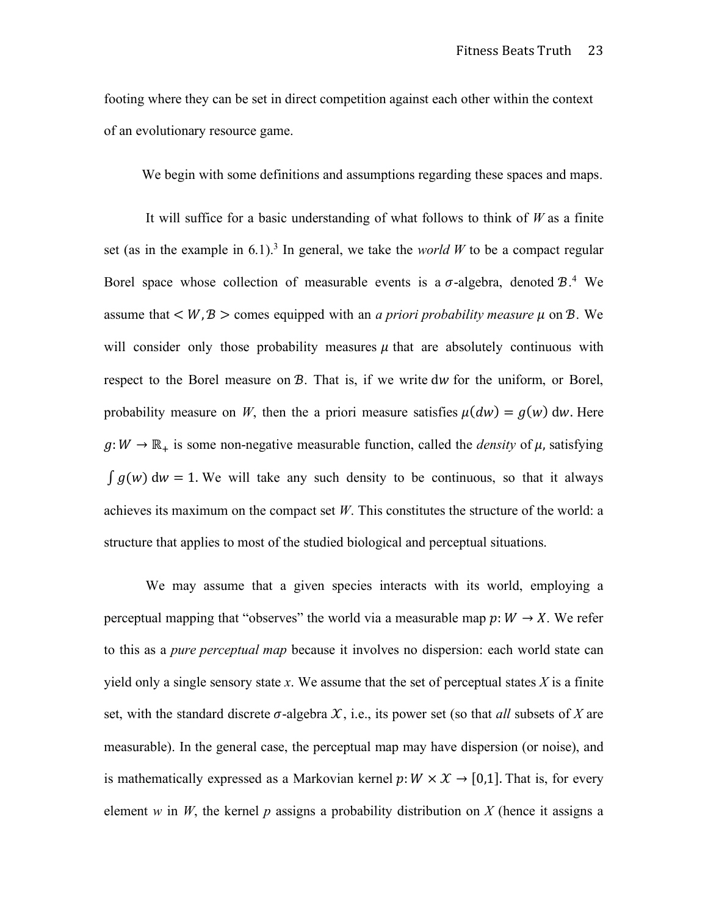footing where they can be set in direct competition against each other within the context of an evolutionary resource game.

We begin with some definitions and assumptions regarding these spaces and maps.

It will suffice for a basic understanding of what follows to think of *W* as a finite set (as in the example in 6.1).<sup>3</sup> In general, we take the *world W* to be a compact regular Borel space whose collection of measurable events is a  $\sigma$ -algebra, denoted  $B^4$ . assume that  $\langle W, \mathcal{B} \rangle$  comes equipped with an *a priori probability measure*  $\mu$  on  $\mathcal{B}$ . We will consider only those probability measures  $\mu$  that are absolutely continuous with respect to the Borel measure on  $\mathcal{B}$ . That is, if we write dw for the uniform, or Borel, probability measure on *W*, then the a priori measure satisfies  $\mu(dw) = q(w) dw$ . Here  $g: W \to \mathbb{R}_+$  is some non-negative measurable function, called the *density* of  $\mu$ , satisfying  $\int g(w) dw = 1$ . We will take any such density to be continuous, so that it always achieves its maximum on the compact set *W*. This constitutes the structure of the world: a structure that applies to most of the studied biological and perceptual situations.

We may assume that a given species interacts with its world, employing a perceptual mapping that "observes" the world via a measurable map  $p: W \to X$ . We refer to this as a *pure perceptual map* because it involves no dispersion: each world state can yield only a single sensory state x. We assume that the set of perceptual states  $X$  is a finite set, with the standard discrete  $\sigma$ -algebra  $\mathcal{X}$ , i.e., its power set (so that *all* subsets of *X* are measurable). In the general case, the perceptual map may have dispersion (or noise), and is mathematically expressed as a Markovian kernel  $p: W \times X \rightarrow [0,1]$ . That is, for every element *w* in *W*, the kernel *p* assigns a probability distribution on *X* (hence it assigns a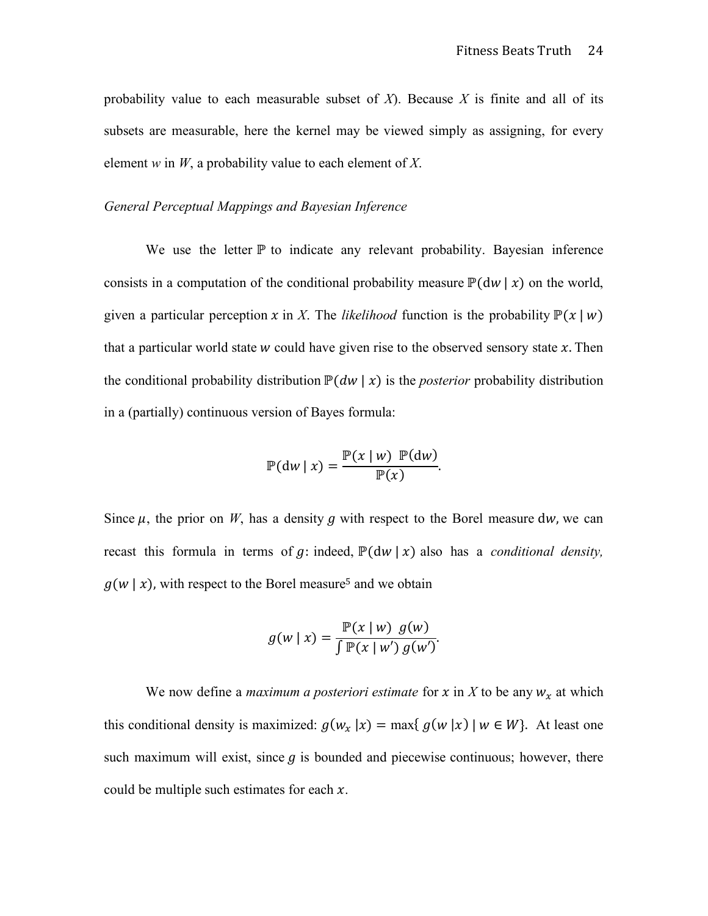probability value to each measurable subset of *X*). Because *X* is finite and all of its subsets are measurable, here the kernel may be viewed simply as assigning, for every element *w* in *W*, a probability value to each element of *X*.

## *General Perceptual Mappings and Bayesian Inference*

We use the letter  $\mathbb P$  to indicate any relevant probability. Bayesian inference consists in a computation of the conditional probability measure  $\mathbb{P}(\mathsf{d} w | x)$  on the world, given a particular perception x in X. The *likelihood* function is the probability  $\mathbb{P}(x | w)$ that a particular world state  $w$  could have given rise to the observed sensory state  $x$ . Then the conditional probability distribution  $P(dw | x)$  is the *posterior* probability distribution in a (partially) continuous version of Bayes formula:

$$
\mathbb{P}(\mathrm{d} w \mid x) = \frac{\mathbb{P}(x \mid w) \mathbb{P}(\mathrm{d} w)}{\mathbb{P}(x)}.
$$

Since  $\mu$ , the prior on *W*, has a density g with respect to the Borel measure dw, we can recast this formula in terms of  $g$ : indeed,  $\mathbb{P}(\text{d} w | x)$  also has a *conditional density*,  $q(w | x)$ , with respect to the Borel measure<sup>5</sup> and we obtain

$$
g(w \mid x) = \frac{\mathbb{P}(x \mid w) \ g(w)}{\int \mathbb{P}(x \mid w') \ g(w')}.
$$

We now define a *maximum a posteriori estimate* for x in X to be any  $w_x$  at which this conditional density is maximized:  $g(w_x | x) = \max\{ g(w | x) | w \in W \}$ . At least one such maximum will exist, since  $q$  is bounded and piecewise continuous; however, there could be multiple such estimates for each  $x$ .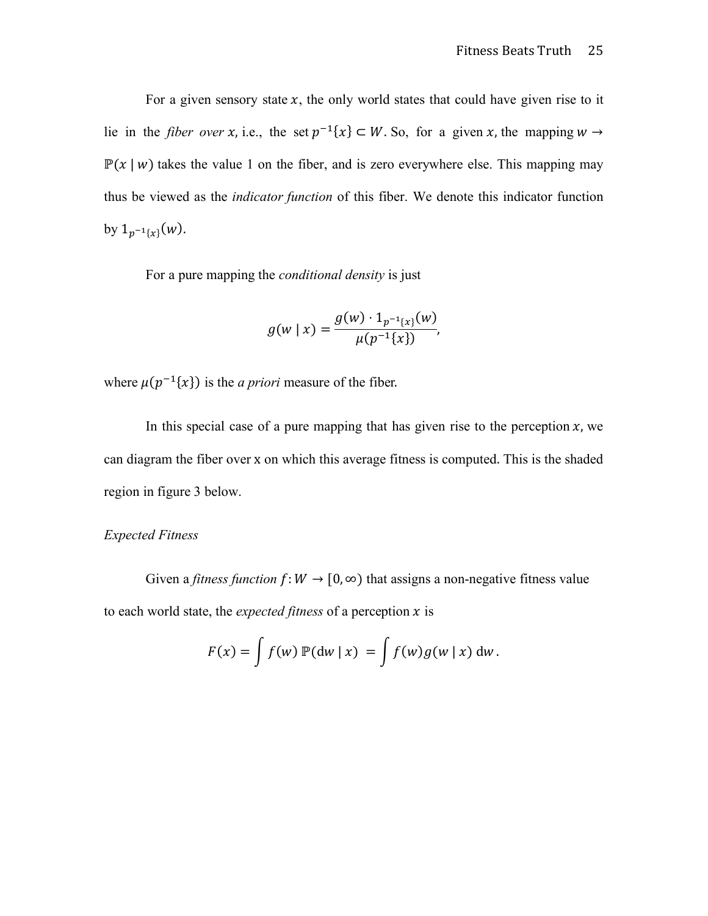For a given sensory state  $x$ , the only world states that could have given rise to it lie in the *fiber over x*, i.e., the set  $p^{-1}\{x\} \subset W$ . So, for a given x, the mapping  $w \to$  $\mathbb{P}(x | w)$  takes the value 1 on the fiber, and is zero everywhere else. This mapping may thus be viewed as the *indicator function* of this fiber. We denote this indicator function by  $1_{p^{-1}\{x\}}(w)$ .

For a pure mapping the *conditional density* is just

$$
g(w \mid x) = \frac{g(w) \cdot 1_{p^{-1}\lbrace x \rbrace}(w)}{\mu(p^{-1}\lbrace x \rbrace)},
$$

where  $\mu(p^{-1}\{x\})$  is the *a priori* measure of the fiber.

In this special case of a pure mapping that has given rise to the perception  $x$ , we can diagram the fiber over x on which this average fitness is computed. This is the shaded region in figure 3 below.

## *Expected Fitness*

Given a *fitness function*  $f: W \to [0, \infty)$  that assigns a non-negative fitness value to each world state, the *expected fitness* of a perception  $x$  is

$$
F(x) = \int f(w) \mathbb{P}(\mathrm{d}w \mid x) = \int f(w)g(w \mid x) \, \mathrm{d}w.
$$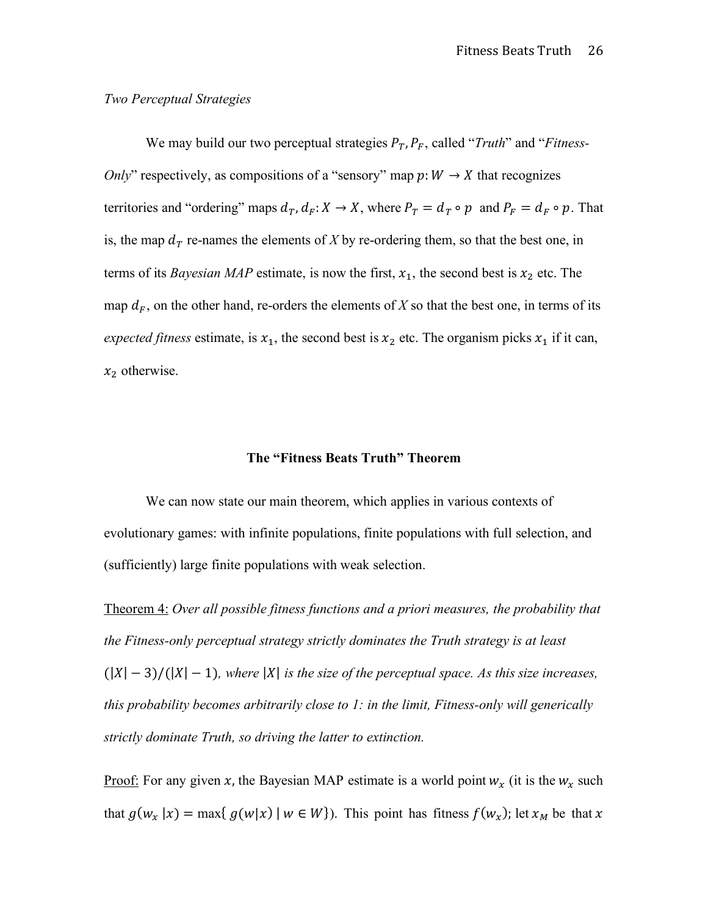#### *Two Perceptual Strategies*

We may build our two perceptual strategies  $P_T$ ,  $P_F$ , called "*Truth*" and "*Fitness*-*Only*" respectively, as compositions of a "sensory" map  $p: W \to X$  that recognizes territories and "ordering" maps  $d_T, d_F: X \to X$ , where  $P_T = d_T \circ p$  and  $P_F = d_F \circ p$ . That is, the map  $d<sub>T</sub>$  re-names the elements of *X* by re-ordering them, so that the best one, in terms of its *Bayesian MAP* estimate, is now the first,  $x_1$ , the second best is  $x_2$  etc. The map  $d_F$ , on the other hand, re-orders the elements of *X* so that the best one, in terms of its *expected fitness* estimate, is  $x_1$ , the second best is  $x_2$  etc. The organism picks  $x_1$  if it can,  $x_2$  otherwise.

## **The "Fitness Beats Truth" Theorem**

We can now state our main theorem, which applies in various contexts of evolutionary games: with infinite populations, finite populations with full selection, and (sufficiently) large finite populations with weak selection.

Theorem 4: *Over all possible fitness functions and a priori measures, the probability that the Fitness-only perceptual strategy strictly dominates the Truth strategy is at least*   $(|X| - 3)/(|X| - 1)$ , where |X| is the size of the perceptual space. As this size increases, *this probability becomes arbitrarily close to 1: in the limit, Fitness-only will generically strictly dominate Truth, so driving the latter to extinction.*

<u>Proof:</u> For any given x, the Bayesian MAP estimate is a world point  $w_x$  (it is the  $w_x$  such that  $g(w_x | x) = \max\{g(w|x) | w \in W\}$ . This point has fitness  $f(w_x)$ ; let  $x_M$  be that x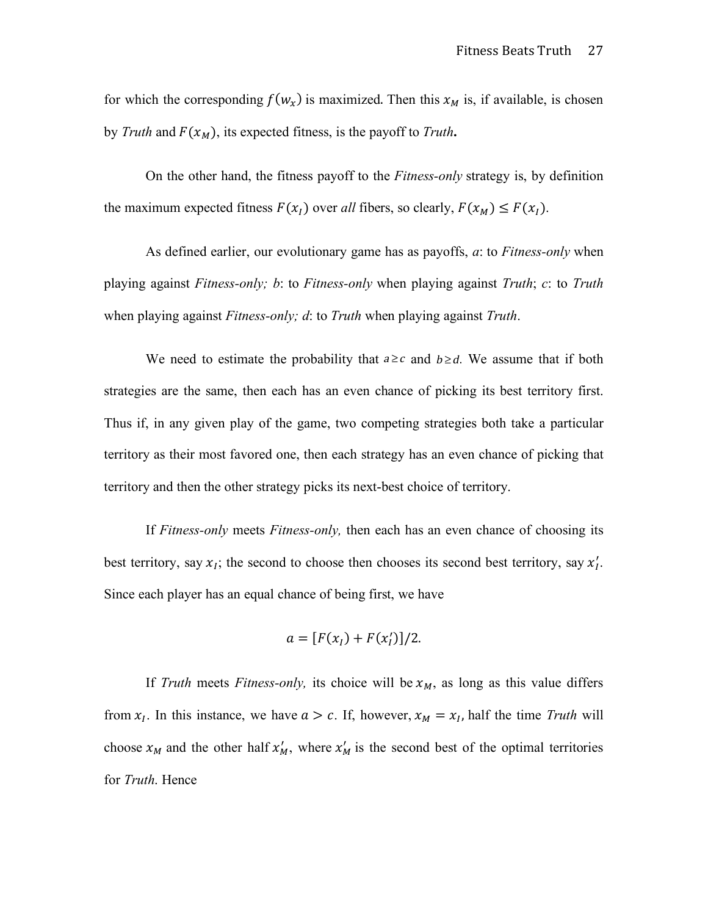for which the corresponding  $f(w_x)$  is maximized. Then this  $x_M$  is, if available, is chosen by *Truth* and  $F(x_M)$ , its expected fitness, is the payoff to *Truth*.

On the other hand, the fitness payoff to the *Fitness-only* strategy is, by definition the maximum expected fitness  $F(x_l)$  over *all* fibers, so clearly,  $F(x_M) \leq F(x_l)$ .

As defined earlier, our evolutionary game has as payoffs, *a*: to *Fitness-only* when playing against *Fitness-only; b*: to *Fitness-only* when playing against *Truth*; *c*: to *Truth* when playing against *Fitness-only; d*: to *Truth* when playing against *Truth*.

We need to estimate the probability that  $a \geq c$  and  $b \geq d$ . We assume that if both strategies are the same, then each has an even chance of picking its best territory first. Thus if, in any given play of the game, two competing strategies both take a particular territory as their most favored one, then each strategy has an even chance of picking that territory and then the other strategy picks its next-best choice of territory.

If *Fitness-only* meets *Fitness-only,* then each has an even chance of choosing its best territory, say  $x_i$ ; the second to choose then chooses its second best territory, say  $x'_i$ . Since each player has an equal chance of being first, we have

$$
a = [F(xI) + F(x'I)]/2.
$$

If *Truth* meets *Fitness-only*, its choice will be  $x_M$ , as long as this value differs from  $x_i$ . In this instance, we have  $a > c$ . If, however,  $x_M = x_i$ , half the time *Truth* will choose  $x_M$  and the other half  $x'_M$ , where  $x'_M$  is the second best of the optimal territories for *Truth*. Hence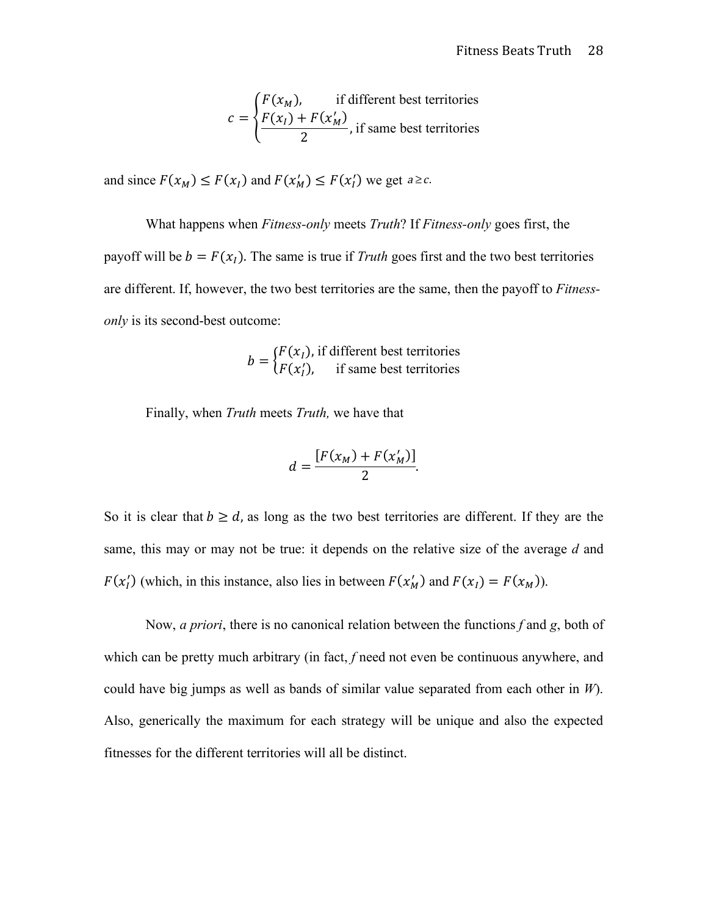$$
c = \begin{cases} F(x_M), & \text{if different best territories} \\ \frac{F(x_I) + F(x'_M)}{2}, & \text{if same best territories} \end{cases}
$$

and since  $F(x_M) \leq F(x_I)$  and  $F(x'_M) \leq F(x'_I)$  we get  $a \geq c$ .

What happens when *Fitness-only* meets *Truth*? If *Fitness-only* goes first, the payoff will be  $b = F(x)$ . The same is true if *Truth* goes first and the two best territories are different. If, however, the two best territories are the same, then the payoff to *Fitnessonly* is its second-best outcome:

$$
b = \begin{cases} F(x_I), & \text{if different best territories} \\ F(x_I'), & \text{if same best territories} \end{cases}
$$

Finally, when *Truth* meets *Truth,* we have that

$$
d=\frac{[F(x_M)+F(x'_M)]}{2}.
$$

So it is clear that  $b \ge d$ , as long as the two best territories are different. If they are the same, this may or may not be true: it depends on the relative size of the average *d* and  $F(x'_l)$  (which, in this instance, also lies in between  $F(x'_M)$  and  $F(x_l) = F(x_M)$ ).

Now, *a priori*, there is no canonical relation between the functions *f* and *g*, both of which can be pretty much arbitrary (in fact, *f* need not even be continuous anywhere, and could have big jumps as well as bands of similar value separated from each other in *W*). Also, generically the maximum for each strategy will be unique and also the expected fitnesses for the different territories will all be distinct.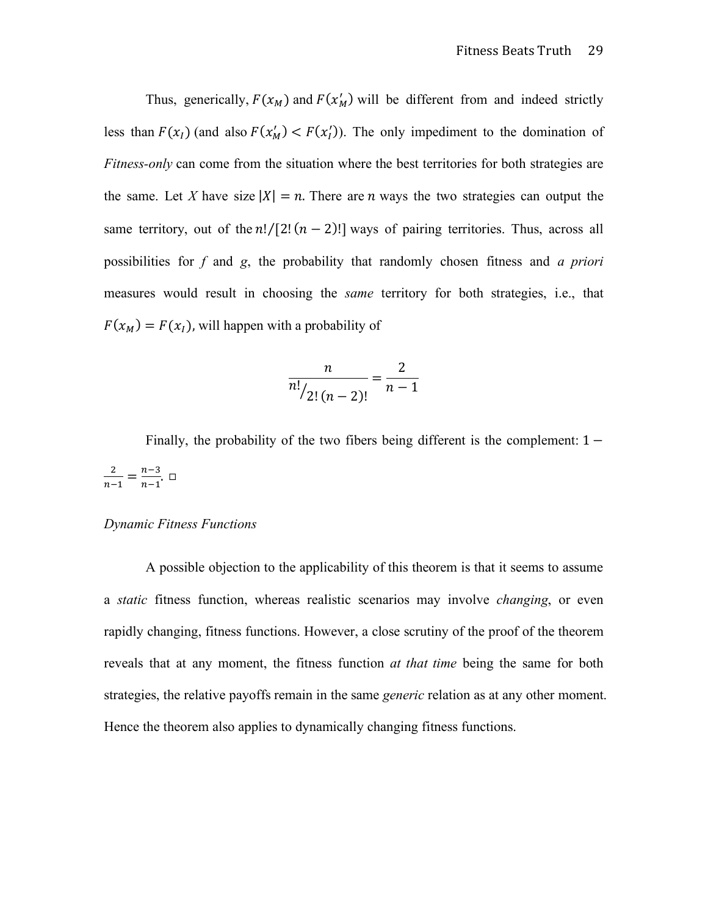Thus, generically,  $F(x_M)$  and  $F(x'_M)$  will be different from and indeed strictly less than  $F(x_i)$  (and also  $F(x'_M) < F(x'_1)$ ). The only impediment to the domination of *Fitness-only* can come from the situation where the best territories for both strategies are the same. Let X have size  $|X| = n$ . There are *n* ways the two strategies can output the same territory, out of the  $n!/[2!(n-2)!]$  ways of pairing territories. Thus, across all possibilities for *f* and *g*, the probability that randomly chosen fitness and *a priori* measures would result in choosing the *same* territory for both strategies, i.e., that  $F(x_M) = F(x_I)$ , will happen with a probability of

$$
\frac{n}{n!}{\binom{n}{2! \, (n-2)!}} = \frac{2}{n-1}
$$

Finally, the probability of the two fibers being different is the complement:  $1 \frac{2}{n-1} = \frac{n-3}{n-1}.$ 

## *Dynamic Fitness Functions*

A possible objection to the applicability of this theorem is that it seems to assume a *static* fitness function, whereas realistic scenarios may involve *changing*, or even rapidly changing, fitness functions. However, a close scrutiny of the proof of the theorem reveals that at any moment, the fitness function *at that time* being the same for both strategies, the relative payoffs remain in the same *generic* relation as at any other moment. Hence the theorem also applies to dynamically changing fitness functions.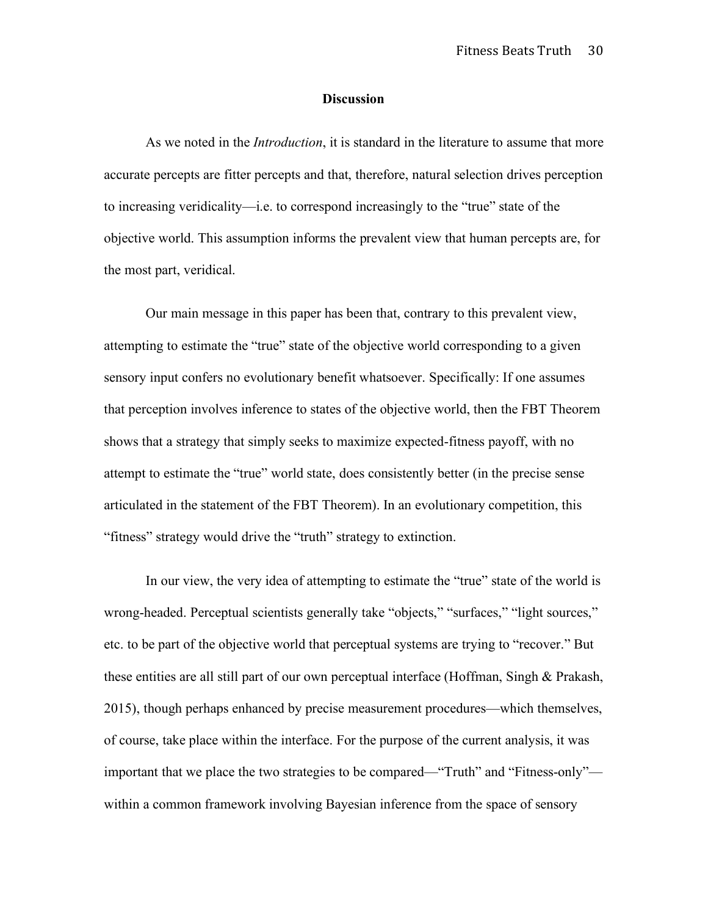#### **Discussion**

As we noted in the *Introduction*, it is standard in the literature to assume that more accurate percepts are fitter percepts and that, therefore, natural selection drives perception to increasing veridicality—i.e. to correspond increasingly to the "true" state of the objective world. This assumption informs the prevalent view that human percepts are, for the most part, veridical.

Our main message in this paper has been that, contrary to this prevalent view, attempting to estimate the "true" state of the objective world corresponding to a given sensory input confers no evolutionary benefit whatsoever. Specifically: If one assumes that perception involves inference to states of the objective world, then the FBT Theorem shows that a strategy that simply seeks to maximize expected-fitness payoff, with no attempt to estimate the "true" world state, does consistently better (in the precise sense articulated in the statement of the FBT Theorem). In an evolutionary competition, this "fitness" strategy would drive the "truth" strategy to extinction.

In our view, the very idea of attempting to estimate the "true" state of the world is wrong-headed. Perceptual scientists generally take "objects," "surfaces," "light sources," etc. to be part of the objective world that perceptual systems are trying to "recover." But these entities are all still part of our own perceptual interface (Hoffman, Singh & Prakash, 2015), though perhaps enhanced by precise measurement procedures—which themselves, of course, take place within the interface. For the purpose of the current analysis, it was important that we place the two strategies to be compared—"Truth" and "Fitness-only" within a common framework involving Bayesian inference from the space of sensory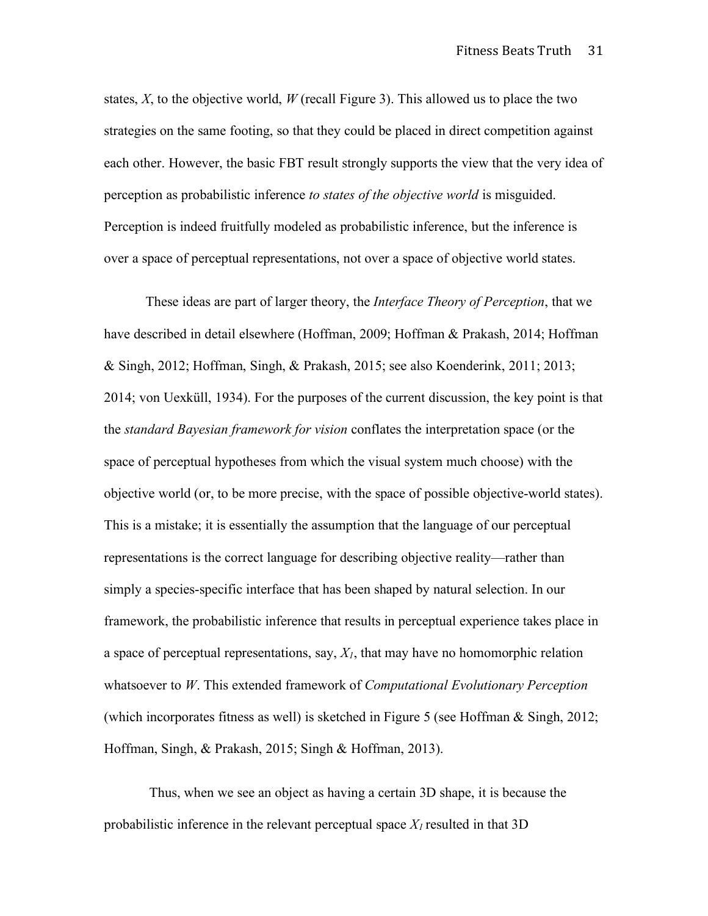states,  $X$ , to the objective world,  $W$  (recall Figure 3). This allowed us to place the two strategies on the same footing, so that they could be placed in direct competition against each other. However, the basic FBT result strongly supports the view that the very idea of perception as probabilistic inference *to states of the objective world* is misguided. Perception is indeed fruitfully modeled as probabilistic inference, but the inference is over a space of perceptual representations, not over a space of objective world states.

These ideas are part of larger theory, the *Interface Theory of Perception*, that we have described in detail elsewhere (Hoffman, 2009; Hoffman & Prakash, 2014; Hoffman & Singh, 2012; Hoffman, Singh, & Prakash, 2015; see also Koenderink, 2011; 2013; 2014; von Uexküll, 1934). For the purposes of the current discussion, the key point is that the *standard Bayesian framework for vision* conflates the interpretation space (or the space of perceptual hypotheses from which the visual system much choose) with the objective world (or, to be more precise, with the space of possible objective-world states). This is a mistake; it is essentially the assumption that the language of our perceptual representations is the correct language for describing objective reality—rather than simply a species-specific interface that has been shaped by natural selection. In our framework, the probabilistic inference that results in perceptual experience takes place in a space of perceptual representations, say, *X1*, that may have no homomorphic relation whatsoever to *W*. This extended framework of *Computational Evolutionary Perception* (which incorporates fitness as well) is sketched in Figure 5 (see Hoffman & Singh, 2012; Hoffman, Singh, & Prakash, 2015; Singh & Hoffman, 2013).

Thus, when we see an object as having a certain 3D shape, it is because the probabilistic inference in the relevant perceptual space  $X_l$  resulted in that 3D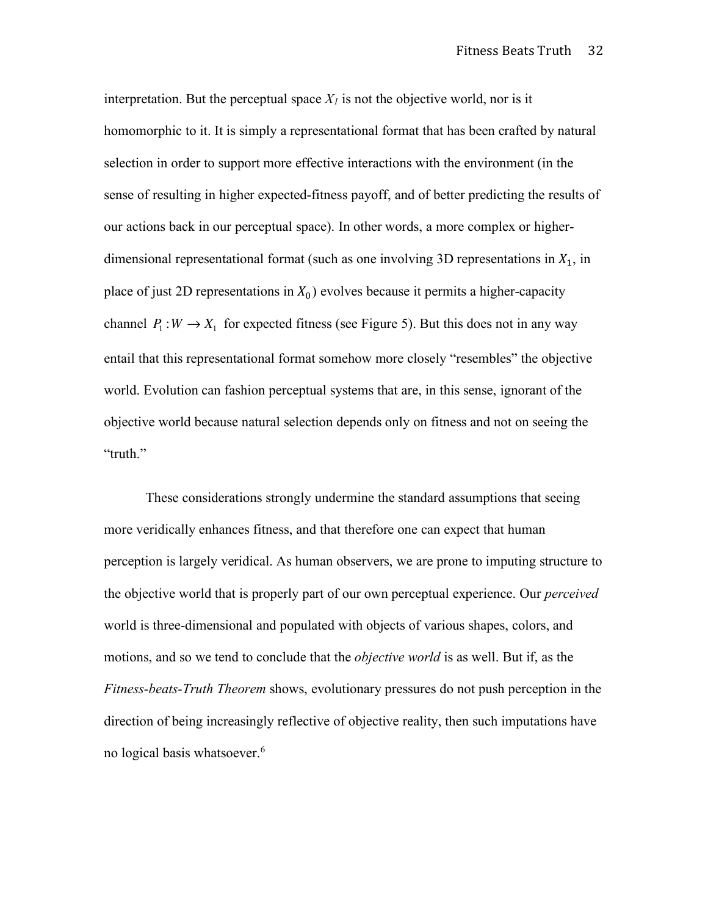interpretation. But the perceptual space  $X_l$  is not the objective world, nor is it homomorphic to it. It is simply a representational format that has been crafted by natural selection in order to support more effective interactions with the environment (in the sense of resulting in higher expected-fitness payoff, and of better predicting the results of our actions back in our perceptual space). In other words, a more complex or higherdimensional representational format (such as one involving 3D representations in  $X_1$ , in place of just 2D representations in  $X_0$ ) evolves because it permits a higher-capacity channel  $P_1: W \to X_1$  for expected fitness (see Figure 5). But this does not in any way entail that this representational format somehow more closely "resembles" the objective world. Evolution can fashion perceptual systems that are, in this sense, ignorant of the objective world because natural selection depends only on fitness and not on seeing the "truth."

These considerations strongly undermine the standard assumptions that seeing more veridically enhances fitness, and that therefore one can expect that human perception is largely veridical. As human observers, we are prone to imputing structure to the objective world that is properly part of our own perceptual experience. Our *perceived* world is three-dimensional and populated with objects of various shapes, colors, and motions, and so we tend to conclude that the *objective world* is as well. But if, as the *Fitness-beats-Truth Theorem* shows, evolutionary pressures do not push perception in the direction of being increasingly reflective of objective reality, then such imputations have no logical basis whatsoever. 6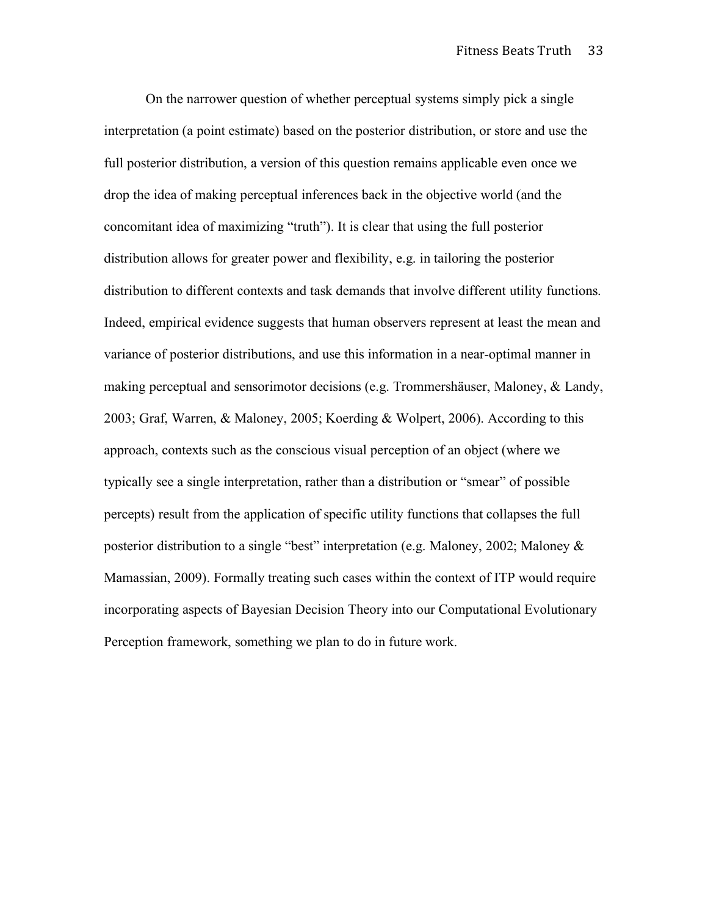On the narrower question of whether perceptual systems simply pick a single interpretation (a point estimate) based on the posterior distribution, or store and use the full posterior distribution, a version of this question remains applicable even once we drop the idea of making perceptual inferences back in the objective world (and the concomitant idea of maximizing "truth"). It is clear that using the full posterior distribution allows for greater power and flexibility, e.g. in tailoring the posterior distribution to different contexts and task demands that involve different utility functions. Indeed, empirical evidence suggests that human observers represent at least the mean and variance of posterior distributions, and use this information in a near-optimal manner in making perceptual and sensorimotor decisions (e.g. Trommershäuser, Maloney, & Landy, 2003; Graf, Warren, & Maloney, 2005; Koerding & Wolpert, 2006). According to this approach, contexts such as the conscious visual perception of an object (where we typically see a single interpretation, rather than a distribution or "smear" of possible percepts) result from the application of specific utility functions that collapses the full posterior distribution to a single "best" interpretation (e.g. Maloney, 2002; Maloney & Mamassian, 2009). Formally treating such cases within the context of ITP would require incorporating aspects of Bayesian Decision Theory into our Computational Evolutionary Perception framework, something we plan to do in future work.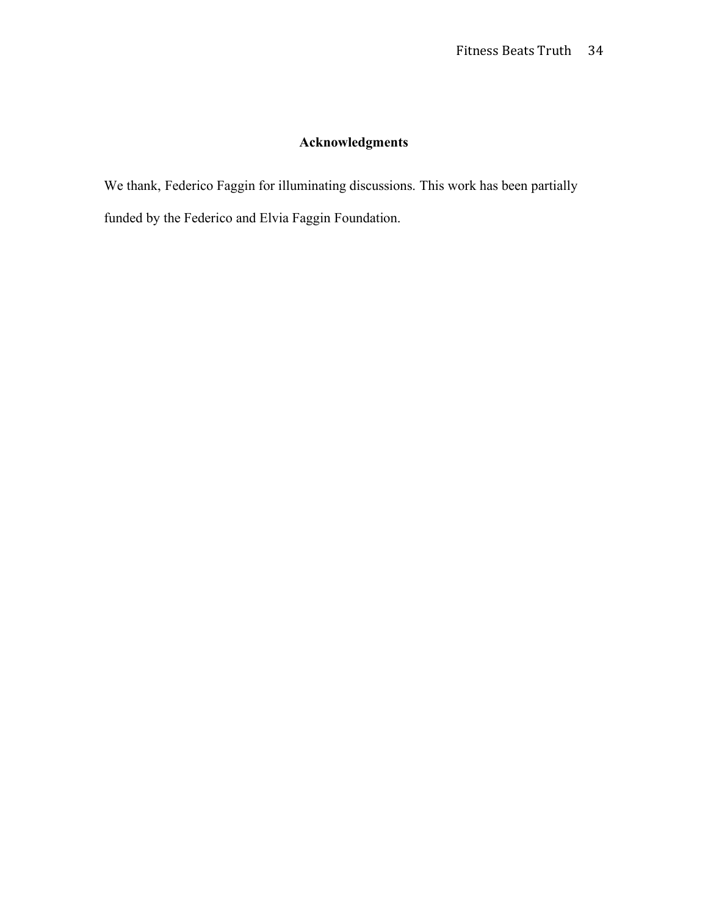# **Acknowledgments**

We thank, Federico Faggin for illuminating discussions. This work has been partially funded by the Federico and Elvia Faggin Foundation.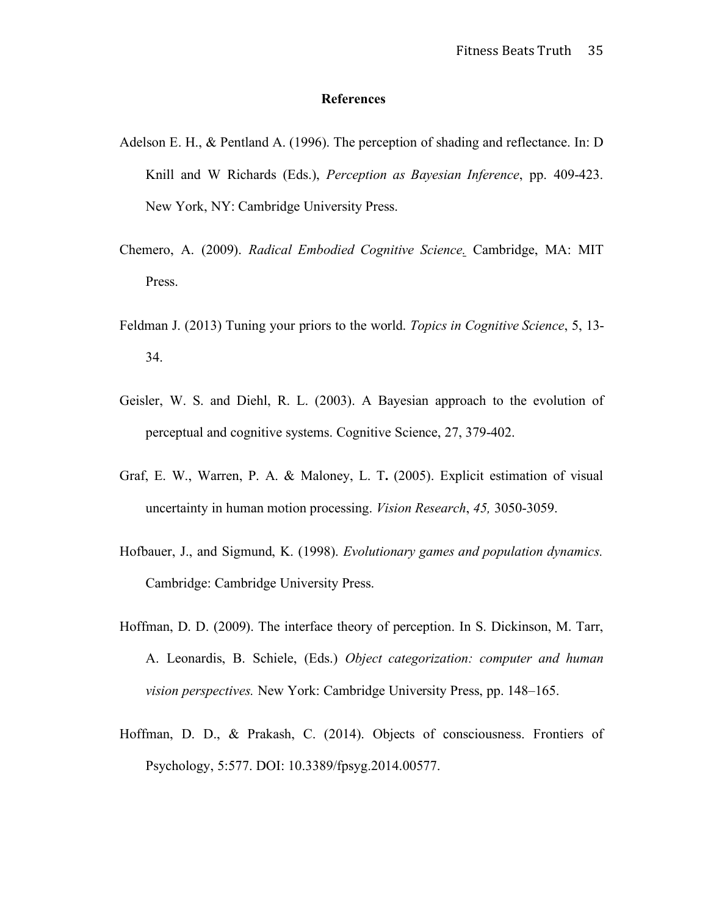#### **References**

- Adelson E. H., & Pentland A. (1996). The perception of shading and reflectance. In: D Knill and W Richards (Eds.), *Perception as Bayesian Inference*, pp. 409-423. New York, NY: Cambridge University Press.
- Chemero, A. (2009). *Radical Embodied Cognitive Science.* Cambridge, MA: MIT Press.
- Feldman J. (2013) Tuning your priors to the world. *Topics in Cognitive Science*, 5, 13- 34.
- Geisler, W. S. and Diehl, R. L. (2003). A Bayesian approach to the evolution of perceptual and cognitive systems. Cognitive Science, 27, 379-402.
- Graf, E. W., Warren, P. A. & Maloney, L. T**.** (2005). Explicit estimation of visual uncertainty in human motion processing. *Vision Research*, *45,* 3050-3059.
- Hofbauer, J., and Sigmund, K. (1998). *Evolutionary games and population dynamics.* Cambridge: Cambridge University Press.
- Hoffman, D. D. (2009). The interface theory of perception. In S. Dickinson, M. Tarr, A. Leonardis, B. Schiele, (Eds.) *Object categorization: computer and human vision perspectives.* New York: Cambridge University Press, pp. 148–165.
- Hoffman, D. D., & Prakash, C. (2014). Objects of consciousness. Frontiers of Psychology, 5:577. DOI: 10.3389/fpsyg.2014.00577.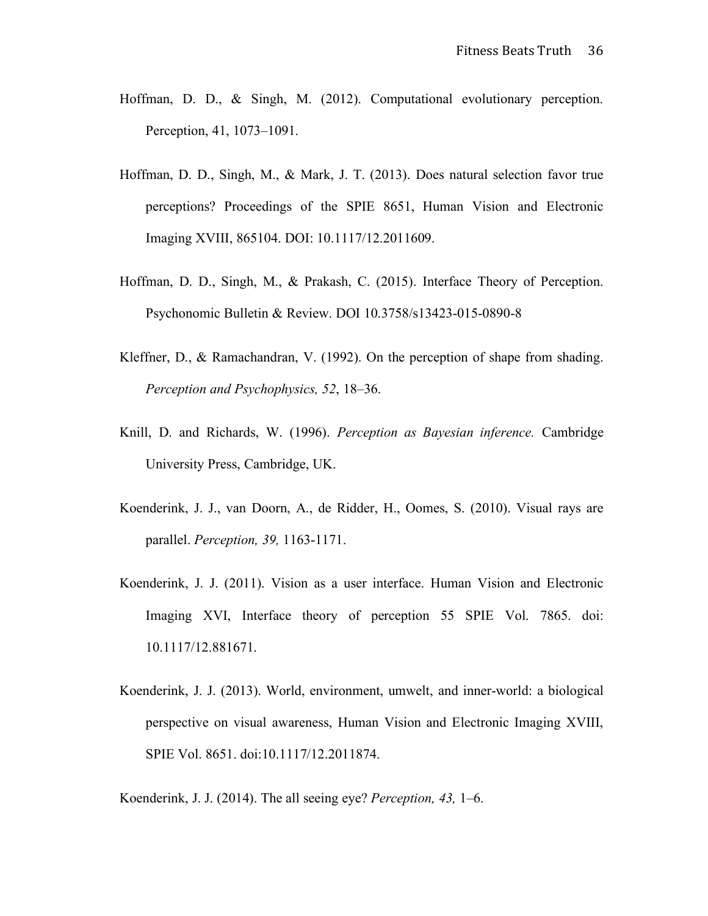- Hoffman, D. D., & Singh, M. (2012). Computational evolutionary perception. Perception, 41, 1073–1091.
- Hoffman, D. D., Singh, M., & Mark, J. T. (2013). Does natural selection favor true perceptions? Proceedings of the SPIE 8651, Human Vision and Electronic Imaging XVIII, 865104. DOI: 10.1117/12.2011609.
- Hoffman, D. D., Singh, M., & Prakash, C. (2015). Interface Theory of Perception. Psychonomic Bulletin & Review. DOI 10.3758/s13423-015-0890-8
- Kleffner, D., & Ramachandran, V. (1992). On the perception of shape from shading. *Perception and Psychophysics, 52*, 18–36.
- Knill, D. and Richards, W. (1996). *Perception as Bayesian inference.* Cambridge University Press, Cambridge, UK.
- Koenderink, J. J., van Doorn, A., de Ridder, H., Oomes, S. (2010). Visual rays are parallel. *Perception, 39,* 1163-1171.
- Koenderink, J. J. (2011). Vision as a user interface. Human Vision and Electronic Imaging XVI, Interface theory of perception 55 SPIE Vol. 7865. doi: 10.1117/12.881671.
- Koenderink, J. J. (2013). World, environment, umwelt, and inner-world: a biological perspective on visual awareness, Human Vision and Electronic Imaging XVIII, SPIE Vol. 8651. doi:10.1117/12.2011874.

Koenderink, J. J. (2014). The all seeing eye? *Perception, 43,* 1–6.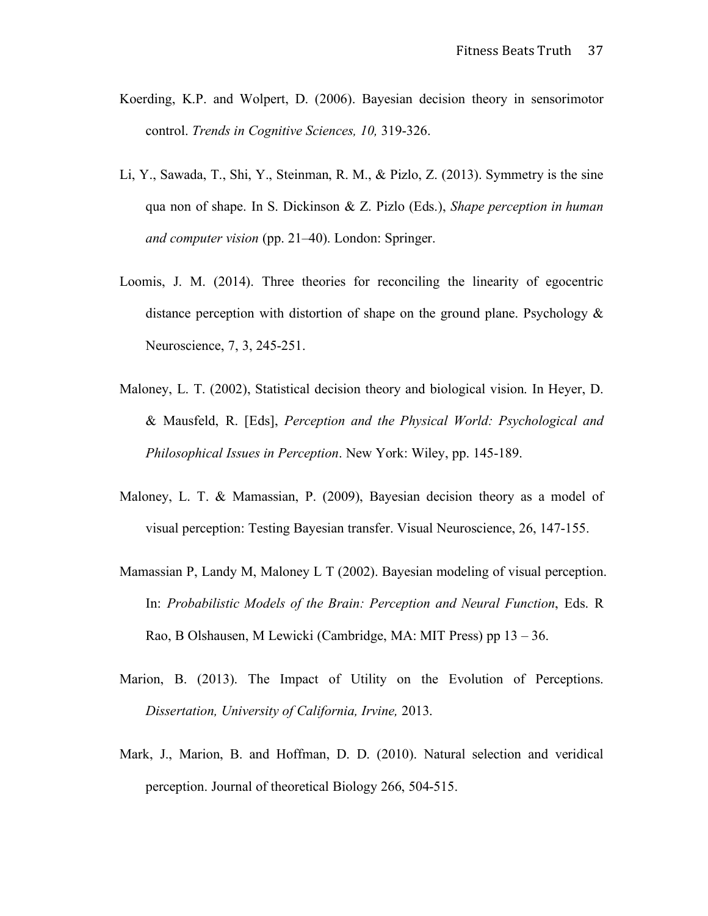- Koerding, K.P. and Wolpert, D. (2006). Bayesian decision theory in sensorimotor control. *Trends in Cognitive Sciences, 10,* 319-326.
- Li, Y., Sawada, T., Shi, Y., Steinman, R. M., & Pizlo, Z. (2013). Symmetry is the sine qua non of shape. In S. Dickinson & Z. Pizlo (Eds.), *Shape perception in human and computer vision* (pp. 21–40). London: Springer.
- Loomis, J. M. (2014). Three theories for reconciling the linearity of egocentric distance perception with distortion of shape on the ground plane. Psychology  $\&$ Neuroscience, 7, 3, 245-251.
- Maloney, L. T. (2002), Statistical decision theory and biological vision. In Heyer, D. & Mausfeld, R. [Eds], *Perception and the Physical World: Psychological and Philosophical Issues in Perception*. New York: Wiley, pp. 145-189.
- Maloney, L. T. & Mamassian, P. (2009), Bayesian decision theory as a model of visual perception: Testing Bayesian transfer. Visual Neuroscience, 26, 147-155.
- Mamassian P, Landy M, Maloney L T (2002). Bayesian modeling of visual perception. In: *Probabilistic Models of the Brain: Perception and Neural Function*, Eds. R Rao, B Olshausen, M Lewicki (Cambridge, MA: MIT Press) pp 13 – 36.
- Marion, B. (2013). The Impact of Utility on the Evolution of Perceptions. *Dissertation, University of California, Irvine,* 2013.
- Mark, J., Marion, B. and Hoffman, D. D. (2010). Natural selection and veridical perception. Journal of theoretical Biology 266, 504-515.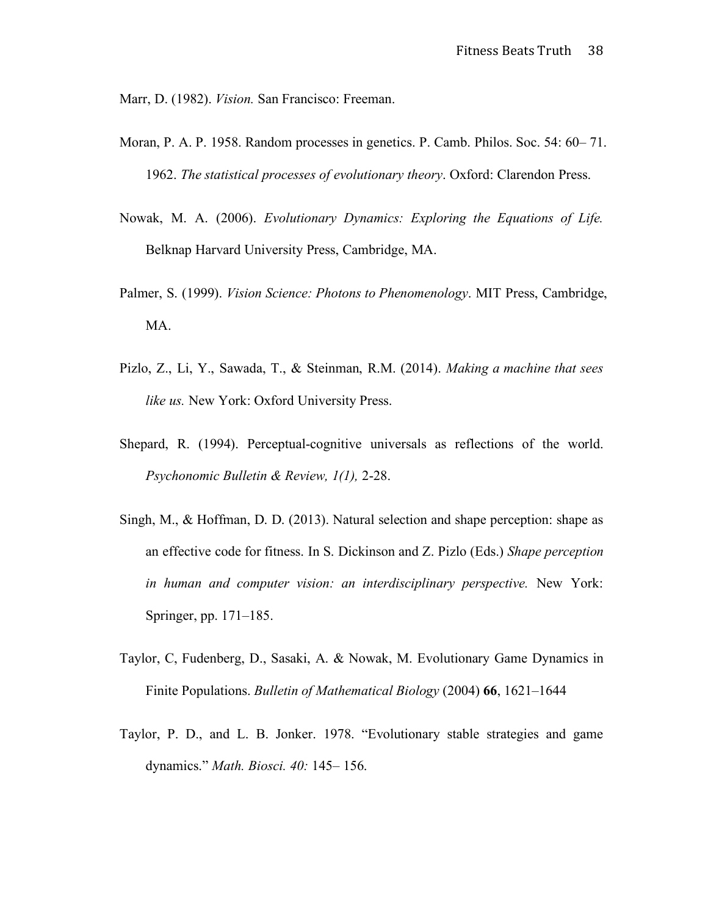Marr, D. (1982). *Vision.* San Francisco: Freeman.

- Moran, P. A. P. 1958. Random processes in genetics. P. Camb. Philos. Soc. 54: 60– 71. 1962. *The statistical processes of evolutionary theory*. Oxford: Clarendon Press.
- Nowak, M. A. (2006). *Evolutionary Dynamics: Exploring the Equations of Life.* Belknap Harvard University Press, Cambridge, MA.
- Palmer, S. (1999). *Vision Science: Photons to Phenomenology*. MIT Press, Cambridge, MA.
- Pizlo, Z., Li, Y., Sawada, T., & Steinman, R.M. (2014). *Making a machine that sees like us.* New York: Oxford University Press.
- Shepard, R. (1994). Perceptual-cognitive universals as reflections of the world. *Psychonomic Bulletin & Review, 1(1),* 2-28.
- Singh, M., & Hoffman, D. D. (2013). Natural selection and shape perception: shape as an effective code for fitness. In S. Dickinson and Z. Pizlo (Eds.) *Shape perception in human and computer vision: an interdisciplinary perspective.* New York: Springer, pp. 171–185.
- Taylor, C, Fudenberg, D., Sasaki, A. & Nowak, M. Evolutionary Game Dynamics in Finite Populations. *Bulletin of Mathematical Biology* (2004) **66**, 1621–1644
- Taylor, P. D., and L. B. Jonker. 1978. "Evolutionary stable strategies and game dynamics." *Math. Biosci. 40:* 145– 156.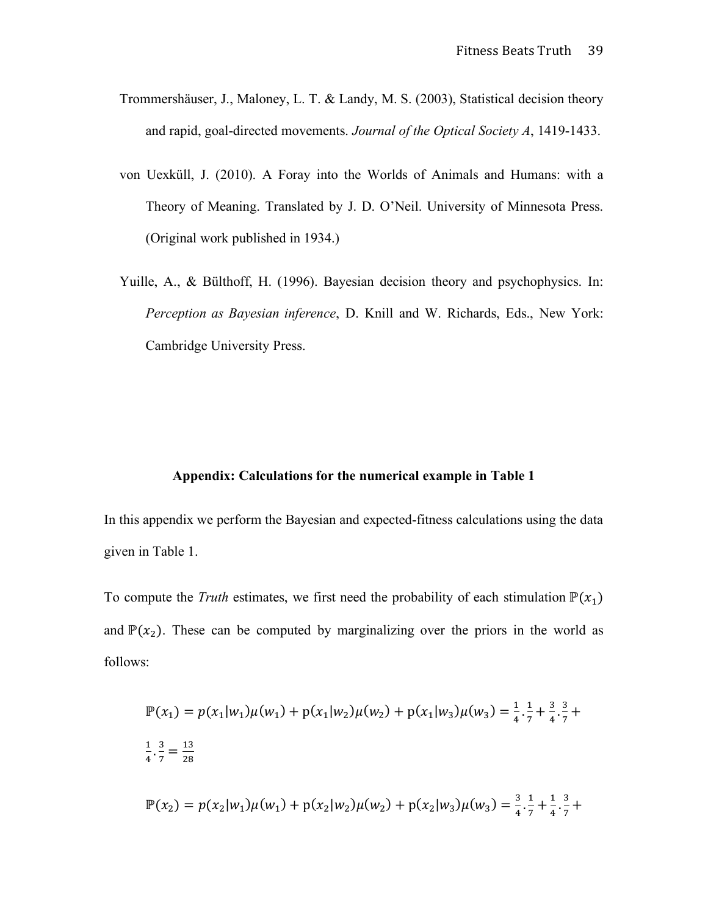- Trommershäuser, J., Maloney, L. T. & Landy, M. S. (2003), Statistical decision theory and rapid, goal-directed movements. *Journal of the Optical Society A*, 1419-1433.
- von Uexküll, J. (2010). A Foray into the Worlds of Animals and Humans: with a Theory of Meaning. Translated by J. D. O'Neil. University of Minnesota Press. (Original work published in 1934.)
- Yuille, A., & Bülthoff, H. (1996). Bayesian decision theory and psychophysics. In: *Perception as Bayesian inference*, D. Knill and W. Richards, Eds., New York: Cambridge University Press.

#### **Appendix: Calculations for the numerical example in Table 1**

In this appendix we perform the Bayesian and expected-fitness calculations using the data given in Table 1.

To compute the *Truth* estimates, we first need the probability of each stimulation  $\mathbb{P}(x_1)$ and  $\mathbb{P}(x_2)$ . These can be computed by marginalizing over the priors in the world as follows:

$$
\mathbb{P}(x_1) = p(x_1|w_1)\mu(w_1) + p(x_1|w_2)\mu(w_2) + p(x_1|w_3)\mu(w_3) = \frac{1}{4} \cdot \frac{1}{7} + \frac{3}{4} \cdot \frac{3}{7} + \frac{1}{4} \cdot \frac{3}{7} = \frac{13}{28}
$$
  

$$
\mathbb{P}(x_2) = p(x_2|w_1)\mu(w_1) + p(x_2|w_2)\mu(w_2) + p(x_2|w_3)\mu(w_3) = \frac{3}{4} \cdot \frac{1}{7} + \frac{1}{4} \cdot \frac{3}{7} + \frac{1}{4} \cdot \frac{3}{7} + \frac{1}{4} \cdot \frac{3}{7} = \frac{13}{28}
$$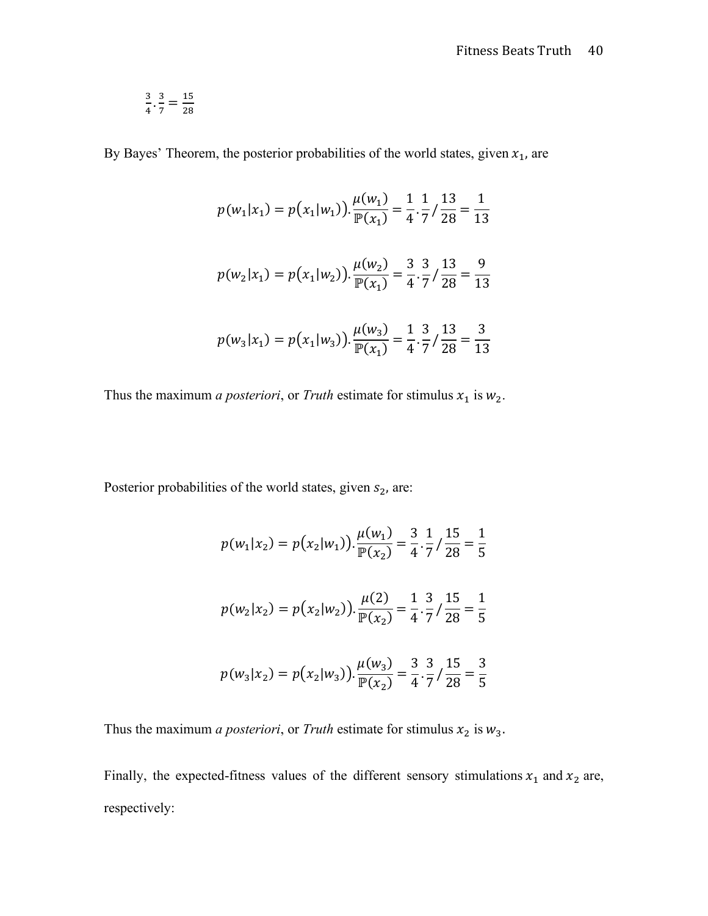$$
\frac{3}{4} \cdot \frac{3}{7} = \frac{15}{28}
$$

By Bayes' Theorem, the posterior probabilities of the world states, given  $x_1$ , are

$$
p(w_1|x_1) = p(x_1|w_1) \cdot \frac{\mu(w_1)}{\mathbb{P}(x_1)} = \frac{1}{4} \cdot \frac{1}{7} / \frac{13}{28} = \frac{1}{13}
$$
  

$$
p(w_2|x_1) = p(x_1|w_2) \cdot \frac{\mu(w_2)}{\mathbb{P}(x_1)} = \frac{3}{4} \cdot \frac{3}{7} / \frac{13}{28} = \frac{9}{13}
$$
  

$$
p(w_3|x_1) = p(x_1|w_3) \cdot \frac{\mu(w_3)}{\mathbb{P}(x_1)} = \frac{1}{4} \cdot \frac{3}{7} / \frac{13}{28} = \frac{3}{13}
$$

Thus the maximum *a posteriori*, or *Truth* estimate for stimulus  $x_1$  is  $w_2$ .

Posterior probabilities of the world states, given  $s_2$ , are:

$$
p(w_1|x_2) = p(x_2|w_1) \cdot \frac{\mu(w_1)}{\mathbb{P}(x_2)} = \frac{3}{4} \cdot \frac{1}{7} / \frac{15}{28} = \frac{1}{5}
$$
  

$$
p(w_2|x_2) = p(x_2|w_2) \cdot \frac{\mu(2)}{\mathbb{P}(x_2)} = \frac{1}{4} \cdot \frac{3}{7} / \frac{15}{28} = \frac{1}{5}
$$
  

$$
p(w_3|x_2) = p(x_2|w_3) \cdot \frac{\mu(w_3)}{\mathbb{P}(x_2)} = \frac{3}{4} \cdot \frac{3}{7} / \frac{15}{28} = \frac{3}{5}
$$

Thus the maximum *a posteriori*, or *Truth* estimate for stimulus  $x_2$  is  $w_3$ .

Finally, the expected-fitness values of the different sensory stimulations  $x_1$  and  $x_2$  are, respectively: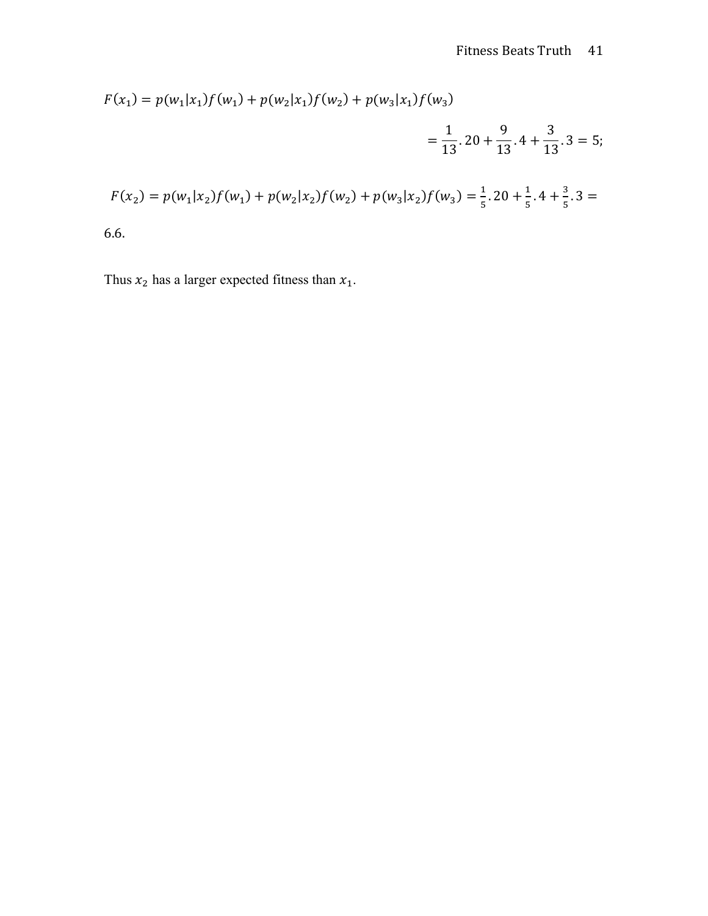$$
F(x_1) = p(w_1|x_1)f(w_1) + p(w_2|x_1)f(w_2) + p(w_3|x_1)f(w_3)
$$
  
=  $\frac{1}{13} \cdot 20 + \frac{9}{13} \cdot 4 + \frac{3}{13} \cdot 3 = 5;$   

$$
F(x_2) = p(w_1|x_2)f(w_1) + p(w_2|x_2)f(w_2) + p(w_3|x_2)f(w_3) = \frac{1}{5} \cdot 20 + \frac{1}{5} \cdot 4 + \frac{3}{5} \cdot 3 = 6.
$$
6.

Thus  $x_2$  has a larger expected fitness than  $x_1$ .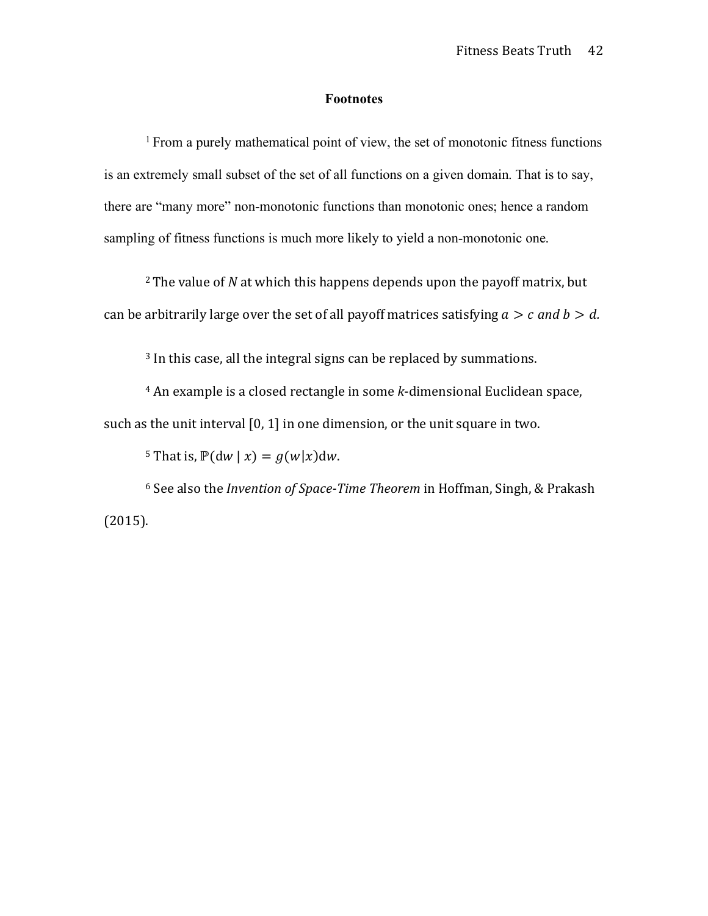## **Footnotes**

<sup>1</sup> From a purely mathematical point of view, the set of monotonic fitness functions is an extremely small subset of the set of all functions on a given domain. That is to say, there are "many more" non-monotonic functions than monotonic ones; hence a random sampling of fitness functions is much more likely to yield a non-monotonic one.

<sup>2</sup> The value of *N* at which this happens depends upon the payoff matrix, but can be arbitrarily large over the set of all payoff matrices satisfying  $a > c$  and  $b > d$ .

 $3$  In this case, all the integral signs can be replaced by summations.

<sup>4</sup> An example is a closed rectangle in some *k*-dimensional Euclidean space, such as the unit interval  $[0, 1]$  in one dimension, or the unit square in two.

<sup>5</sup> That is,  $\mathbb{P}(\text{d}w | x) = g(w|x)\text{d}w$ .

<sup>6</sup> See also the *Invention of Space-Time Theorem* in Hoffman, Singh, & Prakash (2015).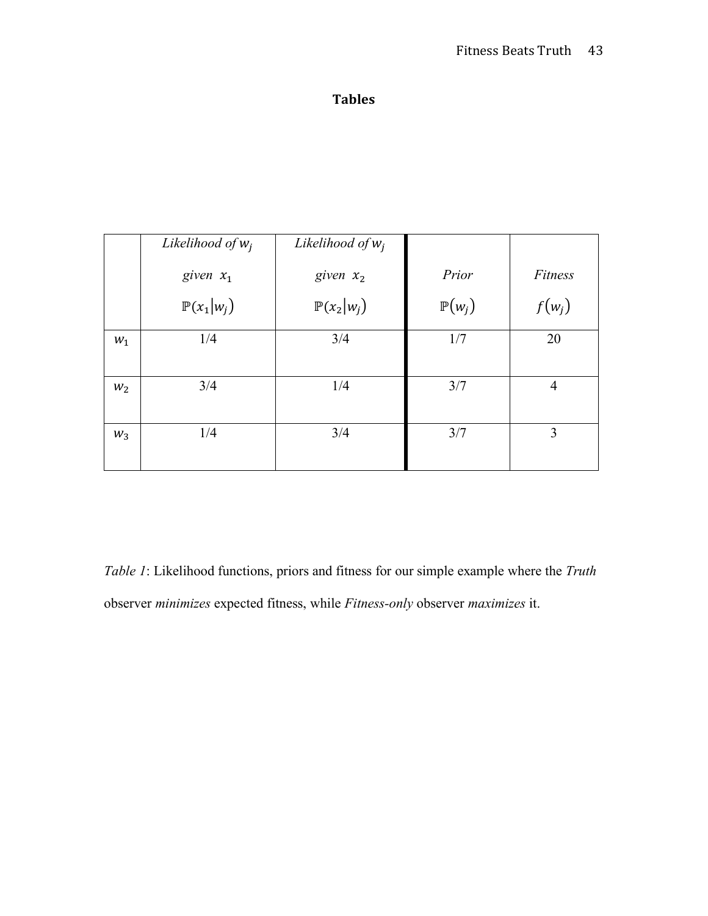# **Tables**

|       | Likelihood of $w_i$   | Likelihood of $w_i$   |                   |                |
|-------|-----------------------|-----------------------|-------------------|----------------|
|       | given $x_1$           | given $x_2$           | Prior             | Fitness        |
|       | $\mathbb{P}(x_1 w_i)$ | $\mathbb{P}(x_2 w_i)$ | $\mathbb{P}(w_i)$ | $f(w_j)$       |
| $W_1$ | 1/4                   | 3/4                   | 1/7               | 20             |
| $W_2$ | 3/4                   | 1/4                   | 3/7               | $\overline{4}$ |
| $W_3$ | 1/4                   | 3/4                   | 3/7               | 3              |

*Table 1*: Likelihood functions, priors and fitness for our simple example where the *Truth* observer *minimizes* expected fitness, while *Fitness-only* observer *maximizes* it.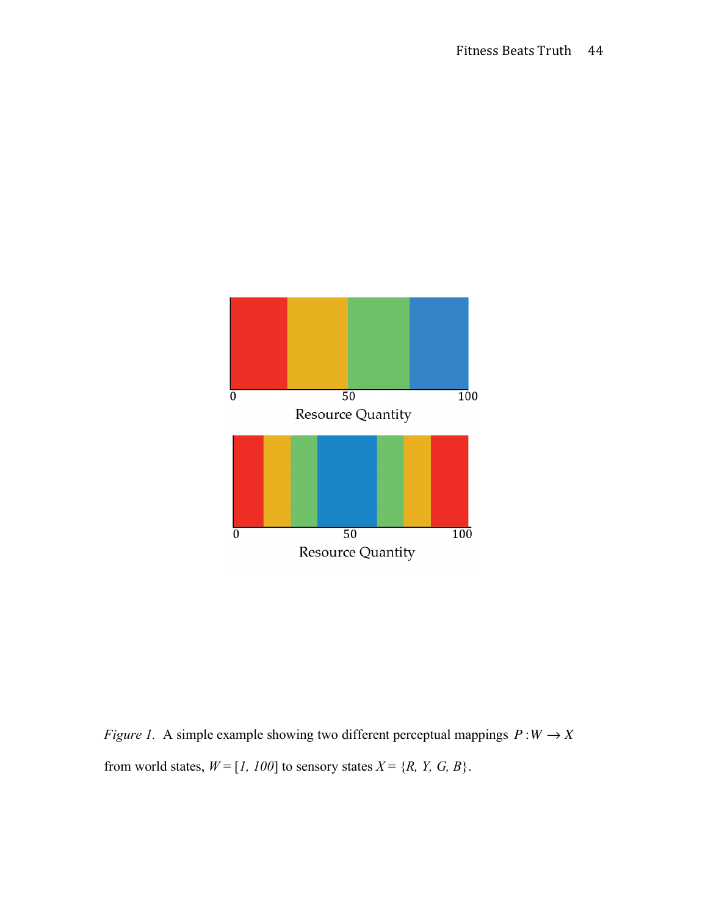

*Figure 1.* A simple example showing two different perceptual mappings  $P:W\to X$ from world states,  $W = [1, 100]$  to sensory states  $X = \{R, Y, G, B\}$ .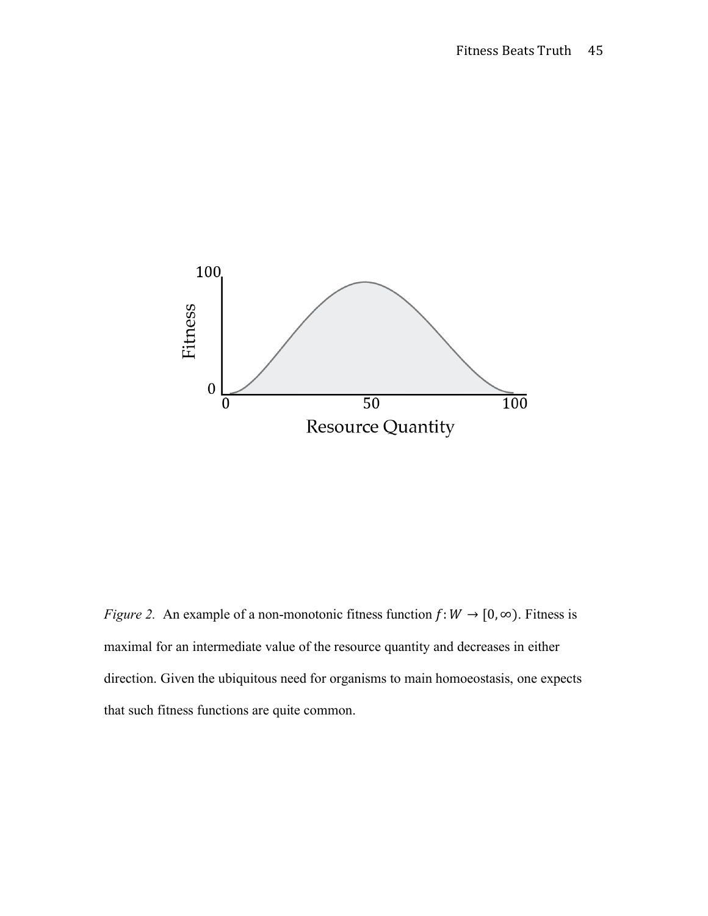

*Figure 2.* An example of a non-monotonic fitness function  $f: W \to [0, \infty)$ . Fitness is maximal for an intermediate value of the resource quantity and decreases in either direction. Given the ubiquitous need for organisms to main homoeostasis, one expects that such fitness functions are quite common.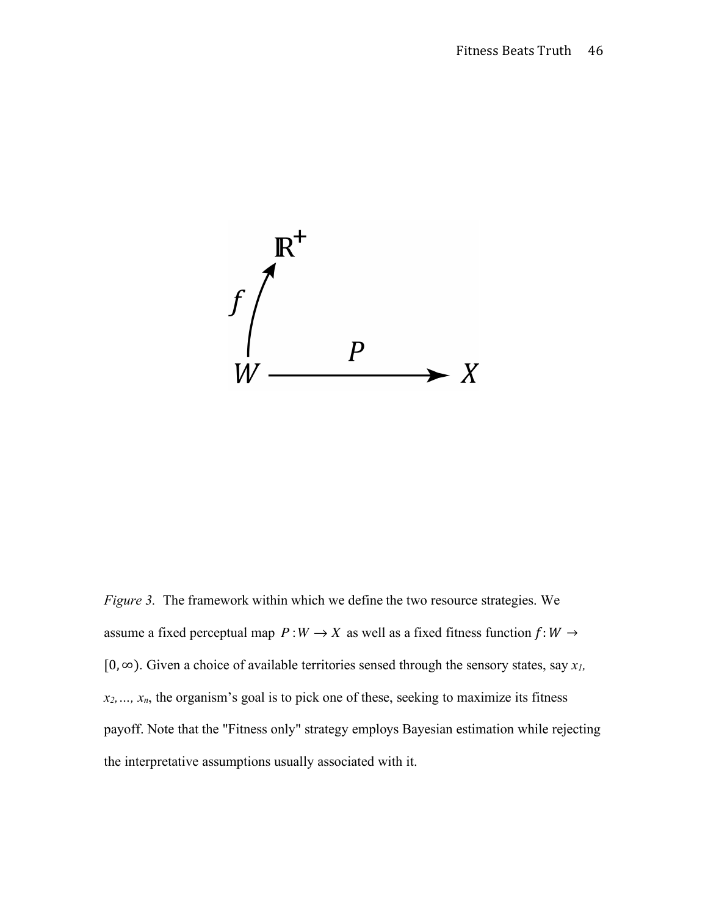

*Figure 3.* The framework within which we define the two resource strategies. We assume a fixed perceptual map  $P: W \to X$  as well as a fixed fitness function  $f: W \to Y$ [0, ∞). Given a choice of available territories sensed through the sensory states, say *x1, x2,…, xn*, the organism's goal is to pick one of these, seeking to maximize its fitness payoff. Note that the "Fitness only" strategy employs Bayesian estimation while rejecting the interpretative assumptions usually associated with it.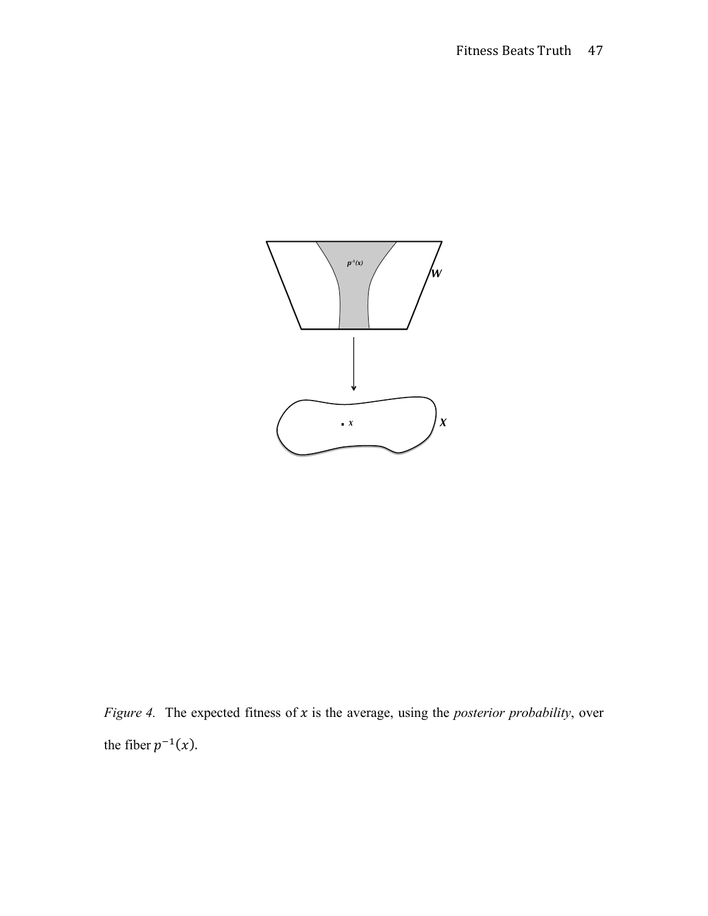

*Figure 4.* The expected fitness of  $x$  is the average, using the *posterior probability*, over the fiber  $p^{-1}(x)$ .